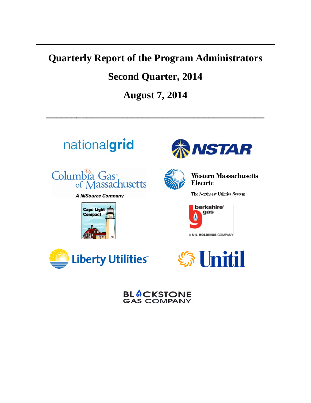# **Quarterly Report of the Program Administrators**

# **Second Quarter, 2014**

**August 7, 2014**

**\_\_\_\_\_\_\_\_\_\_\_\_\_\_\_\_\_\_\_\_\_\_\_\_\_\_\_\_\_\_\_\_\_\_\_\_\_\_\_\_\_\_\_**





**Western Massachusetts** Electric

The Northeast Utilities System



A UIL HOLDINGS COMPANY



**BL OCKSTONE GAS COMPANY**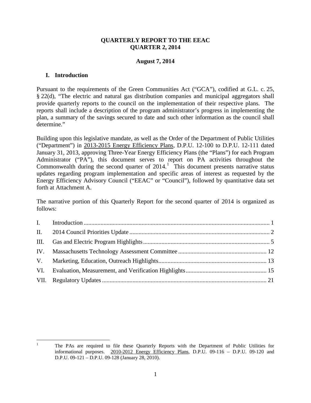#### **QUARTERLY REPORT TO THE EEAC QUARTER 2, 2014**

### **August 7, 2014**

#### <span id="page-1-0"></span>**I. Introduction**

Pursuant to the requirements of the Green Communities Act ("GCA"), codified at G.L. c. 25, § 22(d), "The electric and natural gas distribution companies and municipal aggregators shall provide quarterly reports to the council on the implementation of their respective plans. The reports shall include a description of the program administrator's progress in implementing the plan, a summary of the savings secured to date and such other information as the council shall determine."

Building upon this legislative mandate, as well as the Order of the Department of Public Utilities ("Department") in 2013-2015 Energy Efficiency Plans, D.P.U. 12-100 to D.P.U. 12-111 dated January 31, 2013, approving Three-Year Energy Efficiency Plans (the "Plans") for each Program Administrator ("PA"), this document serves to report on PA activities throughout the Commonwealth during the second quarter of  $2014$  $2014$  $2014$ .<sup>1</sup> This document presents narrative status updates regarding program implementation and specific areas of interest as requested by the Energy Efficiency Advisory Council ("EEAC" or "Council"), followed by quantitative data set forth at Attachment A.

The narrative portion of this Quarterly Report for the second quarter of 2014 is organized as follows:

<span id="page-1-1"></span><sup>1</sup> The PAs are required to file these Quarterly Reports with the Department of Public Utilities for informational purposes. 2010-2012 Energy Efficiency Plans, D.P.U. 09-116 – D.P.U. 09-120 and D.P.U. 09-121 – D.P.U. 09-128 (January 28, 2010).  $\overline{a}$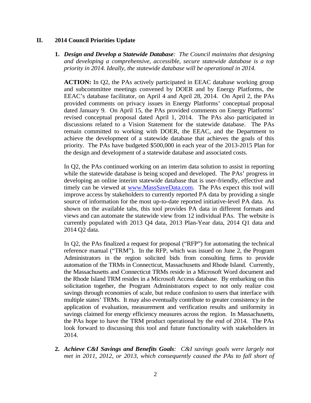#### <span id="page-2-0"></span>**II. 2014 Council Priorities Update**

**1.** *Design and Develop a Statewide Database: The Council maintains that designing and developing a comprehensive, accessible, secure statewide database is a top priority in 2014. Ideally, the statewide database will be operational in 2014.*

**ACTION:** In Q2, the PAs actively participated in EEAC database working group and subcommittee meetings convened by DOER and by Energy Platforms, the EEAC's database facilitator, on April 4 and April 28, 2014. On April 2, the PAs provided comments on privacy issues in Energy Platforms' conceptual proposal dated January 9. On April 15, the PAs provided comments on Energy Platforms' revised conceptual proposal dated April 1, 2014. The PAs also participated in discussions related to a Vision Statement for the statewide database. The PAs remain committed to working with DOER, the EEAC, and the Department to achieve the development of a statewide database that achieves the goals of this priority. The PAs have budgeted \$500,000 in each year of the 2013-2015 Plan for the design and development of a statewide database and associated costs.

In Q2, the PAs continued working on an interim data solution to assist in reporting while the statewide database is being scoped and developed. The PAs' progress in developing an online interim statewide database that is user-friendly, effective and timely can be viewed at [www.MassSaveData.com.](http://www.masssavedata.com/) The PAs expect this tool will improve access by stakeholders to currently reported PA data by providing a single source of information for the most up-to-date reported initiative-level PA data. As shown on the available tabs, this tool provides PA data in different formats and views and can automate the statewide view from 12 individual PAs. The website is currently populated with 2013 Q4 data, 2013 Plan-Year data, 2014 Q1 data and 2014 Q2 data.

In Q2, the PAs finalized a request for proposal ("RFP") for automating the technical reference manual ("TRM"). In the RFP, which was issued on June 2, the Program Administrators in the region solicited bids from consulting firms to provide automation of the TRMs in Connecticut, Massachusetts and Rhode Island. Currently, the Massachusetts and Connecticut TRMs reside in a Microsoft Word document and the Rhode Island TRM resides in a Microsoft Access database. By embarking on this solicitation together, the Program Administrators expect to not only realize cost savings through economies of scale, but reduce confusion to users that interface with multiple states' TRMs. It may also eventually contribute to greater consistency in the application of evaluation, measurement and verification results and uniformity in savings claimed for energy efficiency measures across the region. In Massachusetts, the PAs hope to have the TRM product operational by the end of 2014. The PAs look forward to discussing this tool and future functionality with stakeholders in 2014.

**2.** *Achieve C&I Savings and Benefits Goals: C&I savings goals were largely not met in 2011, 2012, or 2013, which consequently caused the PAs to fall short of*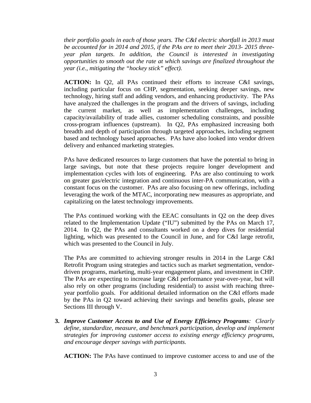*their portfolio goals in each of those years. The C&I electric shortfall in 2013 must be accounted for in 2014 and 2015, if the PAs are to meet their 2013- 2015 threeyear plan targets. In addition, the Council is interested in investigating opportunities to smooth out the rate at which savings are finalized throughout the year (i.e., mitigating the "hockey stick" effect).*

**ACTION:** In Q2, all PAs continued their efforts to increase C&I savings, including particular focus on CHP, segmentation, seeking deeper savings, new technology, hiring staff and adding vendors, and enhancing productivity. The PAs have analyzed the challenges in the program and the drivers of savings, including the current market, as well as implementation challenges, including capacity/availability of trade allies, customer scheduling constraints, and possible cross-program influences (upstream). In Q2, PAs emphasized increasing both breadth and depth of participation through targeted approaches, including segment based and technology based approaches. PAs have also looked into vendor driven delivery and enhanced marketing strategies.

PAs have dedicated resources to large customers that have the potential to bring in large savings, but note that these projects require longer development and implementation cycles with lots of engineering. PAs are also continuing to work on greater gas/electric integration and continuous inter-PA communication, with a constant focus on the customer. PAs are also focusing on new offerings, including leveraging the work of the MTAC, incorporating new measures as appropriate, and capitalizing on the latest technology improvements.

The PAs continued working with the EEAC consultants in Q2 on the deep dives related to the Implementation Update ("IU") submitted by the PAs on March 17, 2014. In Q2, the PAs and consultants worked on a deep dives for residential lighting, which was presented to the Council in June, and for C&I large retrofit, which was presented to the Council in July.

The PAs are committed to achieving stronger results in 2014 in the Large C&I Retrofit Program using strategies and tactics such as market segmentation, vendordriven programs, marketing, multi-year engagement plans, and investment in CHP. The PAs are expecting to increase large C&I performance year-over-year, but will also rely on other programs (including residential) to assist with reaching threeyear portfolio goals. For additional detailed information on the C&I efforts made by the PAs in Q2 toward achieving their savings and benefits goals, please see Sections III through V.

**3.** *Improve Customer Access to and Use of Energy Efficiency Programs: Clearly define, standardize, measure, and benchmark participation, develop and implement strategies for improving customer access to existing energy efficiency programs, and encourage deeper savings with participants.*

**ACTION:** The PAs have continued to improve customer access to and use of the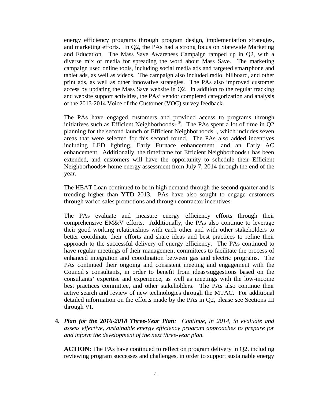energy efficiency programs through program design, implementation strategies, and marketing efforts. In Q2, the PAs had a strong focus on Statewide Marketing and Education. The Mass Save Awareness Campaign ramped up in Q2, with a diverse mix of media for spreading the word about Mass Save. The marketing campaign used online tools, including social media ads and targeted smartphone and tablet ads, as well as videos. The campaign also included radio, billboard, and other print ads, as well as other innovative strategies. The PAs also improved customer access by updating the Mass Save website in Q2. In addition to the regular tracking and website support activities, the PAs' vendor completed categorization and analysis of the 2013-2014 Voice of the Customer (VOC) survey feedback.

The PAs have engaged customers and provided access to programs through initiatives such as Efficient Neighborhoods+ $\mathbb{R}$ . The PAs spent a lot of time in Q2 planning for the second launch of Efficient Neighborhoods+, which includes seven areas that were selected for this second round. The PAs also added incentives including LED lighting, Early Furnace enhancement, and an Early AC enhancement. Additionally, the timeframe for Efficient Neighborhoods+ has been extended, and customers will have the opportunity to schedule their Efficient Neighborhoods+ home energy assessment from July 7, 2014 through the end of the year.

The HEAT Loan continued to be in high demand through the second quarter and is trending higher than YTD 2013. PAs have also sought to engage customers through varied sales promotions and through contractor incentives.

The PAs evaluate and measure energy efficiency efforts through their comprehensive EM&V efforts. Additionally, the PAs also continue to leverage their good working relationships with each other and with other stakeholders to better coordinate their efforts and share ideas and best practices to refine their approach to the successful delivery of energy efficiency. The PAs continued to have regular meetings of their management committees to facilitate the process of enhanced integration and coordination between gas and electric programs. The PAs continued their ongoing and consistent meeting and engagement with the Council's consultants, in order to benefit from ideas/suggestions based on the consultants' expertise and experience, as well as meetings with the low-income best practices committee, and other stakeholders. The PAs also continue their active search and review of new technologies through the MTAC. For additional detailed information on the efforts made by the PAs in Q2, please see Sections III through VI.

**4.** *Plan for the 2016-2018 Three-Year Plan: Continue, in 2014, to evaluate and assess effective, sustainable energy efficiency program approaches to prepare for and inform the development of the next three-year plan.*

**ACTION:** The PAs have continued to reflect on program delivery in Q2, including reviewing program successes and challenges, in order to support sustainable energy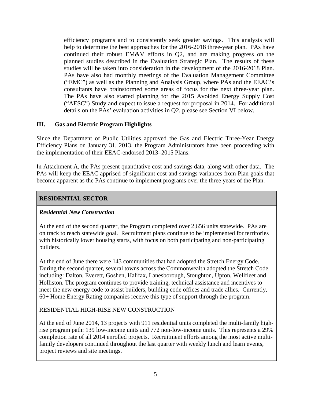efficiency programs and to consistently seek greater savings. This analysis will help to determine the best approaches for the 2016-2018 three-year plan. PAs have continued their robust EM&V efforts in Q2, and are making progress on the planned studies described in the Evaluation Strategic Plan. The results of these studies will be taken into consideration in the development of the 2016-2018 Plan. PAs have also had monthly meetings of the Evaluation Management Committee ("EMC") as well as the Planning and Analysis Group, where PAs and the EEAC's consultants have brainstormed some areas of focus for the next three-year plan. The PAs have also started planning for the 2015 Avoided Energy Supply Cost ("AESC") Study and expect to issue a request for proposal in 2014. For additional details on the PAs' evaluation activities in Q2, please see Section VI below.

### <span id="page-5-0"></span>**III. Gas and Electric Program Highlights**

Since the Department of Public Utilities approved the Gas and Electric Three-Year Energy Efficiency Plans on January 31, 2013, the Program Administrators have been proceeding with the implementation of their EEAC-endorsed 2013–2015 Plans.

In Attachment A, the PAs present quantitative cost and savings data, along with other data. The PAs will keep the EEAC apprised of significant cost and savings variances from Plan goals that become apparent as the PAs continue to implement programs over the three years of the Plan.

### **RESIDENTIAL SECTOR**

#### *Residential New Construction*

At the end of the second quarter, the Program completed over 2,656 units statewide. PAs are on track to reach statewide goal. Recruitment plans continue to be implemented for territories with historically lower housing starts, with focus on both participating and non-participating builders.

At the end of June there were 143 communities that had adopted the Stretch Energy Code. During the second quarter, several towns across the Commonwealth adopted the Stretch Code including: Dalton, Everett, Goshen, Halifax, Lanesborough, Stoughton, Upton, Wellfleet and Holliston. The program continues to provide training, technical assistance and incentives to meet the new energy code to assist builders, building code offices and trade allies. Currently, 60+ Home Energy Rating companies receive this type of support through the program.

## RESIDENTIAL HIGH-RISE NEW CONSTRUCTION

At the end of June 2014, 13 projects with 911 residential units completed the multi-family highrise program path: 139 low-income units and 772 non-low-income units. This represents a 29% completion rate of all 2014 enrolled projects. Recruitment efforts among the most active multifamily developers continued throughout the last quarter with weekly lunch and learn events, project reviews and site meetings.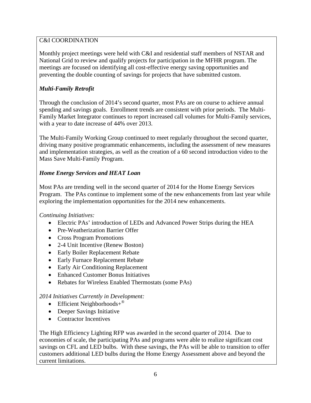## C&I COORDINATION

Monthly project meetings were held with C&I and residential staff members of NSTAR and National Grid to review and qualify projects for participation in the MFHR program. The meetings are focused on identifying all cost-effective energy saving opportunities and preventing the double counting of savings for projects that have submitted custom.

## *Multi-Family Retrofit*

Through the conclusion of 2014's second quarter, most PAs are on course to achieve annual spending and savings goals. Enrollment trends are consistent with prior periods. The Multi-Family Market Integrator continues to report increased call volumes for Multi-Family services, with a year to date increase of 44% over 2013.

The Multi-Family Working Group continued to meet regularly throughout the second quarter, driving many positive programmatic enhancements, including the assessment of new measures and implementation strategies, as well as the creation of a 60 second introduction video to the Mass Save Multi-Family Program.

## *Home Energy Services and HEAT Loan*

Most PAs are trending well in the second quarter of 2014 for the Home Energy Services Program. The PAs continue to implement some of the new enhancements from last year while exploring the implementation opportunities for the 2014 new enhancements.

## *Continuing Initiatives:*

- Electric PAs' introduction of LEDs and Advanced Power Strips during the HEA
- Pre-Weatherization Barrier Offer
- Cross Program Promotions
- 2-4 Unit Incentive (Renew Boston)
- Early Boiler Replacement Rebate
- Early Furnace Replacement Rebate
- Early Air Conditioning Replacement
- Enhanced Customer Bonus Initiatives
- Rebates for Wireless Enabled Thermostats (some PAs)

## *2014 Initiatives Currently in Development:*

- Efficient Neighborhoods+ $^{\circ}$
- Deeper Savings Initiative
- Contractor Incentives

The High Efficiency Lighting RFP was awarded in the second quarter of 2014. Due to economies of scale, the participating PAs and programs were able to realize significant cost savings on CFL and LED bulbs. With these savings, the PAs will be able to transition to offer customers additional LED bulbs during the Home Energy Assessment above and beyond the current limitations.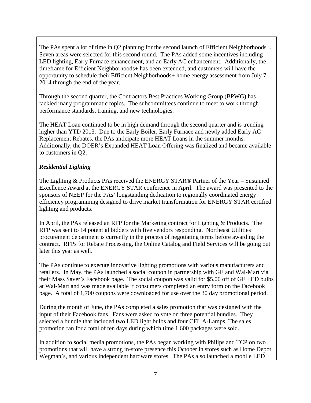The PAs spent a lot of time in Q2 planning for the second launch of Efficient Neighborhoods+. Seven areas were selected for this second round. The PAs added some incentives including LED lighting, Early Furnace enhancement, and an Early AC enhancement. Additionally, the timeframe for Efficient Neighborhoods+ has been extended, and customers will have the opportunity to schedule their Efficient Neighborhoods+ home energy assessment from July 7, 2014 through the end of the year.

Through the second quarter, the Contractors Best Practices Working Group (BPWG) has tackled many programmatic topics. The subcommittees continue to meet to work through performance standards, training, and new technologies.

The HEAT Loan continued to be in high demand through the second quarter and is trending higher than YTD 2013. Due to the Early Boiler, Early Furnace and newly added Early AC Replacement Rebates, the PAs anticipate more HEAT Loans in the summer months. Additionally, the DOER's Expanded HEAT Loan Offering was finalized and became available to customers in Q2.

## *Residential Lighting*

The Lighting & Products PAs received the ENERGY STAR® Partner of the Year – Sustained Excellence Award at the ENERGY STAR conference in April. The award was presented to the sponsors of NEEP for the PAs' longstanding dedication to regionally coordinated energy efficiency programming designed to drive market transformation for ENERGY STAR certified lighting and products.

In April, the PAs released an RFP for the Marketing contract for Lighting & Products. The RFP was sent to 14 potential bidders with five vendors responding. Northeast Utilities' procurement department is currently in the process of negotiating terms before awarding the contract. RFPs for Rebate Processing, the Online Catalog and Field Services will be going out later this year as well.

The PAs continue to execute innovative lighting promotions with various manufacturers and retailers. In May, the PAs launched a social coupon in partnership with GE and Wal-Mart via their Mass Saver's Facebook page. The social coupon was valid for \$5.00 off of GE LED bulbs at Wal-Mart and was made available if consumers completed an entry form on the Facebook page. A total of 1,700 coupons were downloaded for use over the 30 day promotional period.

During the month of June, the PAs completed a sales promotion that was designed with the input of their Facebook fans. Fans were asked to vote on three potential bundles. They selected a bundle that included two LED light bulbs and four CFL A-Lamps. The sales promotion ran for a total of ten days during which time 1,600 packages were sold.

In addition to social media promotions, the PAs began working with Philips and TCP on two promotions that will have a strong in-store presence this October in stores such as Home Depot, Wegman's, and various independent hardware stores. The PAs also launched a mobile LED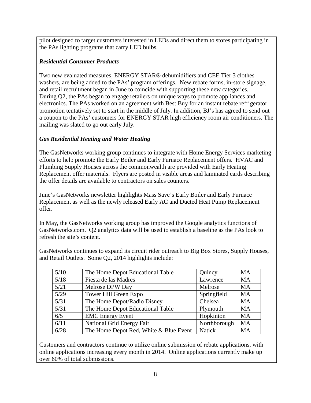pilot designed to target customers interested in LEDs and direct them to stores participating in the PAs lighting programs that carry LED bulbs.

## *Residential Consumer Products*

Two new evaluated measures, ENERGY STAR® dehumidifiers and CEE Tier 3 clothes washers, are being added to the PAs' program offerings. New rebate forms, in-store signage, and retail recruitment began in June to coincide with supporting these new categories. During Q2, the PAs began to engage retailers on unique ways to promote appliances and electronics. The PAs worked on an agreement with Best Buy for an instant rebate refrigerator promotion tentatively set to start in the middle of July. In addition, BJ's has agreed to send out a coupon to the PAs' customers for ENERGY STAR high efficiency room air conditioners. The mailing was slated to go out early July.

## *Gas Residential Heating and Water Heating*

The GasNetworks working group continues to integrate with Home Energy Services marketing efforts to help promote the Early Boiler and Early Furnace Replacement offers. HVAC and Plumbing Supply Houses across the commonwealth are provided with Early Heating Replacement offer materials. Flyers are posted in visible areas and laminated cards describing the offer details are available to contractors on sales counters.

June's GasNetworks newsletter highlights Mass Save's Early Boiler and Early Furnace Replacement as well as the newly released Early AC and Ducted Heat Pump Replacement offer.

In May, the GasNetworks working group has improved the Google analytics functions of GasNetworks.com. Q2 analytics data will be used to establish a baseline as the PAs look to refresh the site's content.

GasNetworks continues to expand its circuit rider outreach to Big Box Stores, Supply Houses, and Retail Outlets. Some Q2, 2014 highlights include:

| 5/10 | The Home Depot Educational Table       | Quincy        | <b>MA</b> |
|------|----------------------------------------|---------------|-----------|
| 5/18 | Fiesta de las Madres                   | Lawrence      | <b>MA</b> |
| 5/21 | Melrose DPW Day                        | Melrose       | <b>MA</b> |
| 5/29 | Tower Hill Green Expo                  | Springfield   | <b>MA</b> |
| 5/31 | The Home Depot/Radio Disney            | Chelsea       | <b>MA</b> |
| 5/31 | The Home Depot Educational Table       | Plymouth      | <b>MA</b> |
| 6/5  | <b>EMC</b> Energy Event                | Hopkinton     | <b>MA</b> |
| 6/11 | National Grid Energy Fair              | Northborough  | MA        |
| 6/28 | The Home Depot Red, White & Blue Event | <b>Natick</b> | <b>MA</b> |

Customers and contractors continue to utilize online submission of rebate applications, with online applications increasing every month in 2014. Online applications currently make up over 60% of total submissions.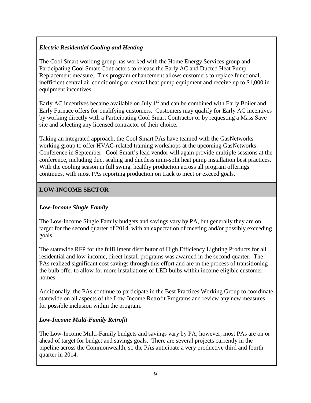## *Electric Residential Cooling and Heating*

The Cool Smart working group has worked with the Home Energy Services group and Participating Cool Smart Contractors to release the Early AC and Ducted Heat Pump Replacement measure. This program enhancement allows customers to replace functional, inefficient central air conditioning or central heat pump equipment and receive up to \$1,000 in equipment incentives.

Early AC incentives became available on July  $1<sup>st</sup>$  and can be combined with Early Boiler and Early Furnace offers for qualifying customers. Customers may qualify for Early AC incentives by working directly with a Participating Cool Smart Contractor or by requesting a Mass Save site and selecting any licensed contractor of their choice.

Taking an integrated approach, the Cool Smart PAs have teamed with the GasNetworks working group to offer HVAC-related training workshops at the upcoming GasNetworks Conference in September. Cool Smart's lead vendor will again provide multiple sessions at the conference, including duct sealing and ductless mini-split heat pump installation best practices. With the cooling season in full swing, healthy production across all program offerings continues, with most PAs reporting production on track to meet or exceed goals.

## **LOW-INCOME SECTOR**

## *Low-Income Single Family*

The Low-Income Single Family budgets and savings vary by PA, but generally they are on target for the second quarter of 2014, with an expectation of meeting and/or possibly exceeding goals.

The statewide RFP for the fulfillment distributor of High Efficiency Lighting Products for all residential and low-income, direct install programs was awarded in the second quarter. The PAs realized significant cost savings through this effort and are in the process of transitioning the bulb offer to allow for more installations of LED bulbs within income eligible customer homes.

Additionally, the PAs continue to participate in the Best Practices Working Group to coordinate statewide on all aspects of the Low-Income Retrofit Programs and review any new measures for possible inclusion within the program.

## *Low-Income Multi-Family Retrofit*

The Low-Income Multi-Family budgets and savings vary by PA; however, most PAs are on or ahead of target for budget and savings goals. There are several projects currently in the pipeline across the Commonwealth, so the PAs anticipate a very productive third and fourth quarter in 2014.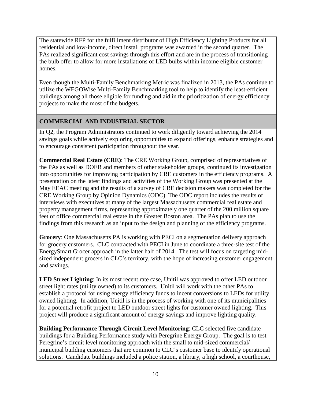The statewide RFP for the fulfillment distributor of High Efficiency Lighting Products for all residential and low-income, direct install programs was awarded in the second quarter. The PAs realized significant cost savings through this effort and are in the process of transitioning the bulb offer to allow for more installations of LED bulbs within income eligible customer homes.

Even though the Multi-Family Benchmarking Metric was finalized in 2013, the PAs continue to utilize the WEGOWise Multi-Family Benchmarking tool to help to identify the least-efficient buildings among all those eligible for funding and aid in the prioritization of energy efficiency projects to make the most of the budgets.

## **COMMERCIAL AND INDUSTRIAL SECTOR**

In Q2, the Program Administrators continued to work diligently toward achieving the 2014 savings goals while actively exploring opportunities to expand offerings, enhance strategies and to encourage consistent participation throughout the year.

**Commercial Real Estate (CRE)**: The CRE Working Group, comprised of representatives of the PAs as well as DOER and members of other stakeholder groups, continued its investigation into opportunities for improving participation by CRE customers in the efficiency programs. A presentation on the latest findings and activities of the Working Group was presented at the May EEAC meeting and the results of a survey of CRE decision makers was completed for the CRE Working Group by Opinion Dynamics (ODC). The ODC report includes the results of interviews with executives at many of the largest Massachusetts commercial real estate and property management firms, representing approximately one quarter of the 200 million square feet of office commercial real estate in the Greater Boston area. The PAs plan to use the findings from this research as an input to the design and planning of the efficiency programs.

**Grocery**: One Massachusetts PA is working with PECI on a segmentation delivery approach for grocery customers. CLC contracted with PECI in June to coordinate a three-site test of the EnergySmart Grocer approach in the latter half of 2014. The test will focus on targeting midsized independent grocers in CLC's territory, with the hope of increasing customer engagement and savings.

**LED Street Lighting**: In its most recent rate case, Unitil was approved to offer LED outdoor street light rates (utility owned) to its customers. Unitil will work with the other PAs to establish a protocol for using energy efficiency funds to incent conversions to LEDs for utility owned lighting. In addition, Unitil is in the process of working with one of its municipalities for a potential retrofit project to LED outdoor street lights for customer owned lighting. This project will produce a significant amount of energy savings and improve lighting quality.

**Building Performance Through Circuit Level Monitoring**: CLC selected five candidate buildings for a Building Performance study with Peregrine Energy Group. The goal is to test Peregrine's circuit level monitoring approach with the small to mid-sized commercial/ municipal building customers that are common to CLC's customer base to identify operational solutions. Candidate buildings included a police station, a library, a high school, a courthouse,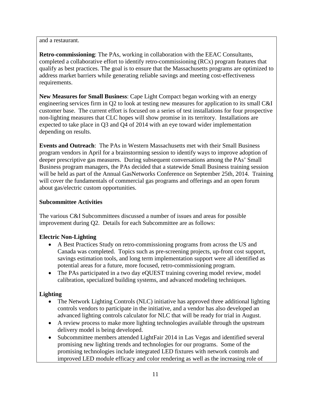and a restaurant.

**Retro-commissioning**: The PAs, working in collaboration with the EEAC Consultants, completed a collaborative effort to identify retro-commissioning (RCx) program features that qualify as best practices. The goal is to ensure that the Massachusetts programs are optimized to address market barriers while generating reliable savings and meeting cost-effectiveness requirements.

**New Measures for Small Business**: Cape Light Compact began working with an energy engineering services firm in Q2 to look at testing new measures for application to its small C&I customer base. The current effort is focused on a series of test installations for four prospective non-lighting measures that CLC hopes will show promise in its territory. Installations are expected to take place in Q3 and Q4 of 2014 with an eye toward wider implementation depending on results.

**Events and Outreach**: The PAs in Western Massachusetts met with their Small Business program vendors in April for a brainstorming session to identify ways to improve adoption of deeper prescriptive gas measures. During subsequent conversations among the PAs' Small Business program managers, the PAs decided that a statewide Small Business training session will be held as part of the Annual GasNetworks Conference on September 25th, 2014. Training will cover the fundamentals of commercial gas programs and offerings and an open forum about gas/electric custom opportunities.

## **Subcommittee Activities**

The various C&I Subcommittees discussed a number of issues and areas for possible improvement during Q2. Details for each Subcommittee are as follows:

## **Electric Non-Lighting**

- A Best Practices Study on retro-commissioning programs from across the US and Canada was completed. Topics such as pre-screening projects, up-front cost support, savings estimation tools, and long term implementation support were all identified as potential areas for a future, more focused, retro-commissioning program.
- The PAs participated in a two day eQUEST training covering model review, model calibration, specialized building systems, and advanced modeling techniques.

## **Lighting**

- The Network Lighting Controls (NLC) initiative has approved three additional lighting controls vendors to participate in the initiative, and a vendor has also developed an advanced lighting controls calculator for NLC that will be ready for trial in August.
- A review process to make more lighting technologies available through the upstream delivery model is being developed.
- Subcommittee members attended LightFair 2014 in Las Vegas and identified several promising new lighting trends and technologies for our programs. Some of the promising technologies include integrated LED fixtures with network controls and improved LED module efficacy and color rendering as well as the increasing role of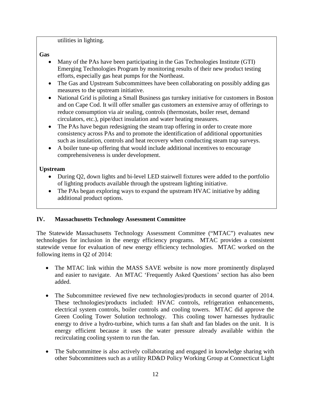utilities in lighting.

**Gas**

- Many of the PAs have been participating in the Gas Technologies Institute (GTI) Emerging Technologies Program by monitoring results of their new product testing efforts, especially gas heat pumps for the Northeast.
- The Gas and Upstream Subcommittees have been collaborating on possibly adding gas measures to the upstream initiative.
- National Grid is piloting a Small Business gas turnkey initiative for customers in Boston and on Cape Cod. It will offer smaller gas customers an extensive array of offerings to reduce consumption via air sealing, controls (thermostats, boiler reset, demand circulators, etc.), pipe/duct insulation and water heating measures.
- The PAs have begun redesigning the steam trap offering in order to create more consistency across PAs and to promote the identification of additional opportunities such as insulation, controls and heat recovery when conducting steam trap surveys.
- A boiler tune-up offering that would include additional incentives to encourage comprehensiveness is under development.

## **Upstream**

- During Q2, down lights and bi-level LED stairwell fixtures were added to the portfolio of lighting products available through the upstream lighting initiative.
- The PAs began exploring ways to expand the upstream HVAC initiative by adding additional product options.

## <span id="page-12-0"></span>**IV. Massachusetts Technology Assessment Committee**

The Statewide Massachusetts Technology Assessment Committee ("MTAC") evaluates new technologies for inclusion in the energy efficiency programs. MTAC provides a consistent statewide venue for evaluation of new energy efficiency technologies. MTAC worked on the following items in Q2 of 2014:

- The MTAC link within the MASS SAVE website is now more prominently displayed and easier to navigate. An MTAC 'Frequently Asked Questions' section has also been added.
- The Subcommittee reviewed five new technologies/products in second quarter of 2014. These technologies/products included: HVAC controls, refrigeration enhancements, electrical system controls, boiler controls and cooling towers. MTAC did approve the Green Cooling Tower Solution technology. This cooling tower harnesses hydraulic energy to drive a hydro-turbine, which turns a fan shaft and fan blades on the unit. It is energy efficient because it uses the water pressure already available within the recirculating cooling system to run the fan.
- The Subcommittee is also actively collaborating and engaged in knowledge sharing with other Subcommittees such as a utility RD&D Policy Working Group at Connecticut Light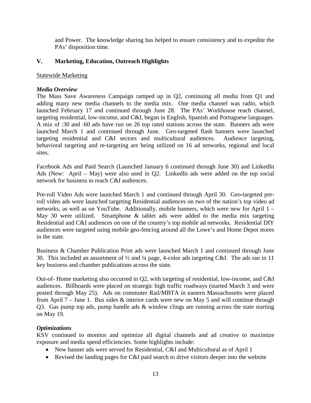and Power. The knowledge sharing has helped to ensure consistency and to expedite the PAs' disposition time.

### <span id="page-13-0"></span>**V. Marketing, Education, Outreach Highlights**

#### Statewide Marketing

#### *Media Overview*

The Mass Save Awareness Campaign ramped up in Q2, continuing all media from Q1 and adding many new media channels to the media mix. One media channel was radio, which launched February 17 and continued through June 28. The PAs' Workhouse reach channel, targeting residential, low-income, and C&I, began in English, Spanish and Portuguese languages. A mix of :30 and :60 ads have run on 26 top rated stations across the state. Banners ads were launched March 1 and continued through June. Geo-targeted flash banners were launched targeting residential and C&I sectors and multicultural audiences. Audience targeting. targeting residential and  $C&I$  sectors and multicultural audiences. behavioral targeting and re-targeting are being utilized on 16 ad networks, regional and local sites.

Facebook Ads and Paid Search (Launched January 6 continued through June 30) and LinkedIn Ads (New: April – May) were also used in Q2. LinkedIn ads were added on the top social network for business to reach C&I audiences.

Pre-roll Video Ads were launched March 1 and continued through April 30. Geo-targeted preroll video ads were launched targeting Residential audiences on two of the nation's top video ad networks, as well as on YouTube. Additionally, mobile banners, which were new for April 1 – May 30 were utilized. Smartphone & tablet ads were added to the media mix targeting Residential and C&I audiences on one of the country's top mobile ad networks. Residential DIY audiences were targeted using mobile geo-fencing around all the Lowe's and Home Depot stores in the state.

Business & Chamber Publication Print ads were launched March 1 and continued through June 30. This included an assortment of  $\frac{1}{2}$  and  $\frac{1}{4}$  page, 4-color ads targeting C&I. The ads ran in 11 key business and chamber publications across the state.

Out-of- Home marketing also occurred in Q2, with targeting of residential, low-income, and C&I audiences. Billboards were placed on strategic high traffic roadways (started March 3 and were posted through May 25). Ads on commuter Rail/MBTA in eastern Massachusetts were placed from April  $7 -$  June 1. Bus sides  $\&$  interior cards were new on May 5 and will continue through Q3. Gas pump top ads, pump handle ads & window clings are running across the state starting on May 19.

## *Optimizations*

KSV continued to monitor and optimize all digital channels and ad creative to maximize exposure and media spend efficiencies. Some highlights include:

- New banner ads were served for Residential, C&I and Multicultural as of April 1
- Revised the landing pages for C&I paid search to drive visitors deeper into the website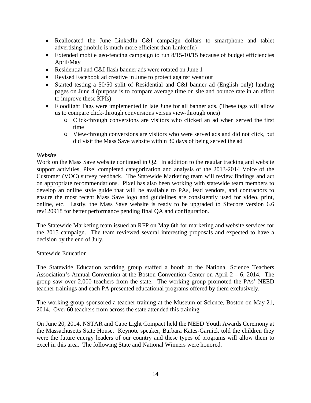- Reallocated the June LinkedIn C&I campaign dollars to smartphone and tablet advertising (mobile is much more efficient than LinkedIn)
- Extended mobile geo-fencing campaign to run 8/15-10/15 because of budget efficiencies April/May
- Residential and C&I flash banner ads were rotated on June 1
- Revised Facebook ad creative in June to protect against wear out
- Started testing a 50/50 split of Residential and C&I banner ad (English only) landing pages on June 4 (purpose is to compare average time on site and bounce rate in an effort to improve these KPIs)
- Floodlight Tags were implemented in late June for all banner ads. (These tags will allow us to compare click-through conversions versus view-through ones)
	- o Click-through conversions are visitors who clicked an ad when served the first time
	- o View-through conversions are visitors who were served ads and did not click, but did visit the Mass Save website within 30 days of being served the ad

#### *Website*

Work on the Mass Save website continued in Q2. In addition to the regular tracking and website support activities, Pixel completed categorization and analysis of the 2013-2014 Voice of the Customer (VOC) survey feedback. The Statewide Marketing team will review findings and act on appropriate recommendations. Pixel has also been working with statewide team members to develop an online style guide that will be available to PAs, lead vendors, and contractors to ensure the most recent Mass Save logo and guidelines are consistently used for video, print, online, etc. Lastly, the Mass Save website is ready to be upgraded to Sitecore version 6.6 rev120918 for better performance pending final QA and configuration.

The Statewide Marketing team issued an RFP on May 6th for marketing and website services for the 2015 campaign. The team reviewed several interesting proposals and expected to have a decision by the end of July.

#### Statewide Education

The Statewide Education working group staffed a booth at the National Science Teachers Association's Annual Convention at the Boston Convention Center on April 2 – 6, 2014. The group saw over 2,000 teachers from the state. The working group promoted the PAs' NEED teacher trainings and each PA presented educational programs offered by them exclusively.

The working group sponsored a teacher training at the Museum of Science, Boston on May 21, 2014. Over 60 teachers from across the state attended this training.

On June 20, 2014, NSTAR and Cape Light Compact held the NEED Youth Awards Ceremony at the Massachusetts State House. Keynote speaker, Barbara Kates-Garnick told the children they were the future energy leaders of our country and these types of programs will allow them to excel in this area. The following State and National Winners were honored.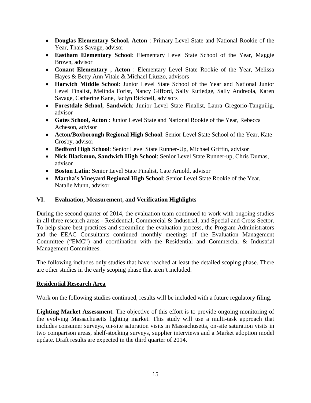- **Douglas Elementary School, Acton** : Primary Level State and National Rookie of the Year, Thais Savage, advisor
- **Eastham Elementary School**: Elementary Level State School of the Year, Maggie Brown, advisor
- **Conant Elementary , Acton** : Elementary Level State Rookie of the Year, Melissa Hayes & Betty Ann Vitale & Michael Liuzzo, advisors
- **Harwich Middle School**: Junior Level State School of the Year and National Junior Level Finalist, Melinda Forist, Nancy Gifford, Sally Rutledge, Sally Andreola, Karen Savage, Catherine Kane, Jaclyn Bicknell, advisors
- **Forestdale School, Sandwich**: Junior Level State Finalist, Laura Gregorio-Tanguilig, advisor
- **Gates School, Acton** : Junior Level State and National Rookie of the Year, Rebecca Acheson, advisor
- **Acton/Boxborough Regional High School**: Senior Level State School of the Year, Kate Crosby, advisor
- **Bedford High School**: Senior Level State Runner-Up, Michael Griffin, advisor
- **Nick Blackmon, Sandwich High School**: Senior Level State Runner-up, Chris Dumas, advisor
- **Boston Latin**: Senior Level State Finalist, Cate Arnold, advisor
- **Martha's Vineyard Regional High School**: Senior Level State Rookie of the Year, Natalie Munn, advisor

## <span id="page-15-0"></span>**VI. Evaluation, Measurement, and Verification Highlights**

During the second quarter of 2014, the evaluation team continued to work with ongoing studies in all three research areas - Residential, Commercial & Industrial, and Special and Cross Sector. To help share best practices and streamline the evaluation process, the Program Administrators and the EEAC Consultants continued monthly meetings of the Evaluation Management Committee ("EMC") and coordination with the Residential and Commercial & Industrial Management Committees.

The following includes only studies that have reached at least the detailed scoping phase. There are other studies in the early scoping phase that aren't included.

## **Residential Research Area**

Work on the following studies continued, results will be included with a future regulatory filing.

Lighting Market Assessment. The objective of this effort is to provide ongoing monitoring of the evolving Massachusetts lighting market. This study will use a multi-task approach that includes consumer surveys, on-site saturation visits in Massachusetts, on-site saturation visits in two comparison areas, shelf-stocking surveys, supplier interviews and a Market adoption model update. Draft results are expected in the third quarter of 2014.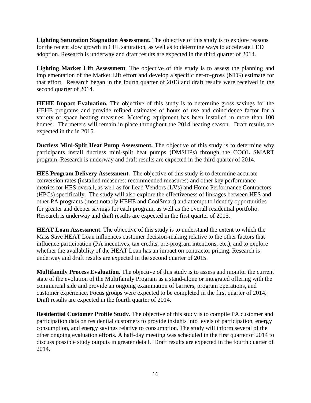**Lighting Saturation Stagnation Assessment.** The objective of this study is to explore reasons for the recent slow growth in CFL saturation, as well as to determine ways to accelerate LED adoption. Research is underway and draft results are expected in the third quarter of 2014.

Lighting Market Lift Assessment. The objective of this study is to assess the planning and implementation of the Market Lift effort and develop a specific net-to-gross (NTG) estimate for that effort. Research began in the fourth quarter of 2013 and draft results were received in the second quarter of 2014.

**HEHE Impact Evaluation.** The objective of this study is to determine gross savings for the HEHE programs and provide refined estimates of hours of use and coincidence factor for a variety of space heating measures. Metering equipment has been installed in more than 100 homes. The meters will remain in place throughout the 2014 heating season. Draft results are expected in the in 2015.

**Ductless Mini-Split Heat Pump Assessment.** The objective of this study is to determine why participants install ductless mini-split heat pumps (DMSHPs) through the COOL SMART program. Research is underway and draft results are expected in the third quarter of 2014.

**HES Program Delivery Assessment.** The objective of this study is to determine accurate conversion rates (installed measures: recommended measures) and other key performance metrics for HES overall, as well as for Lead Vendors (LVs) and Home Performance Contractors (HPCs) specifically. The study will also explore the effectiveness of linkages between HES and other PA programs (most notably HEHE and CoolSmart) and attempt to identify opportunities for greater and deeper savings for each program, as well as the overall residential portfolio. Research is underway and draft results are expected in the first quarter of 2015.

**HEAT Loan Assessment**. The objective of this study is to understand the extent to which the Mass Save HEAT Loan influences customer decision-making relative to the other factors that influence participation (PA incentives, tax credits, pre-program intentions, etc.), and to explore whether the availability of the HEAT Loan has an impact on contractor pricing. Research is underway and draft results are expected in the second quarter of 2015.

**Multifamily Process Evaluation.** The objective of this study is to assess and monitor the current state of the evolution of the Multifamily Program as a stand-alone or integrated offering with the commercial side and provide an ongoing examination of barriers, program operations, and customer experience. Focus groups were expected to be completed in the first quarter of 2014. Draft results are expected in the fourth quarter of 2014.

**Residential Customer Profile Study**. The objective of this study is to compile PA customer and participation data on residential customers to provide insights into levels of participation, energy consumption, and energy savings relative to consumption. The study will inform several of the other ongoing evaluation efforts. A half-day meeting was scheduled in the first quarter of 2014 to discuss possible study outputs in greater detail. Draft results are expected in the fourth quarter of 2014.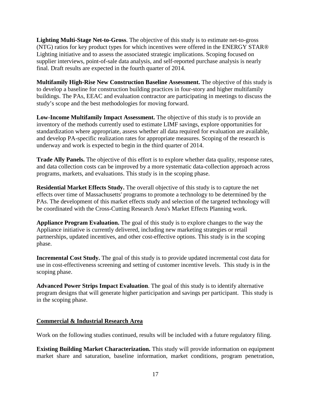**Lighting Multi-Stage Net-to-Gross**. The objective of this study is to estimate net-to-gross (NTG) ratios for key product types for which incentives were offered in the ENERGY STAR® Lighting initiative and to assess the associated strategic implications. Scoping focused on supplier interviews, point-of-sale data analysis, and self-reported purchase analysis is nearly final. Draft results are expected in the fourth quarter of 2014.

**Multifamily High-Rise New Construction Baseline Assessment.** The objective of this study is to develop a baseline for construction building practices in four-story and higher multifamily buildings. The PAs, EEAC and evaluation contractor are participating in meetings to discuss the study's scope and the best methodologies for moving forward.

**Low-Income Multifamily Impact Assessment.** The objective of this study is to provide an inventory of the methods currently used to estimate LIMF savings, explore opportunities for standardization where appropriate, assess whether all data required for evaluation are available, and develop PA-specific realization rates for appropriate measures. Scoping of the research is underway and work is expected to begin in the third quarter of 2014.

**Trade Ally Panels.** The objective of this effort is to explore whether data quality, response rates, and data collection costs can be improved by a more systematic data-collection approach across programs, markets, and evaluations. This study is in the scoping phase.

**Residential Market Effects Study.** The overall objective of this study is to capture the net effects over time of Massachusetts' programs to promote a technology to be determined by the PAs. The development of this market effects study and selection of the targeted technology will be coordinated with the Cross-Cutting Research Area's Market Effects Planning work.

**Appliance Program Evaluation.** The goal of this study is to explore changes to the way the Appliance initiative is currently delivered, including new marketing strategies or retail partnerships, updated incentives, and other cost-effective options. This study is in the scoping phase.

**Incremental Cost Study.** The goal of this study is to provide updated incremental cost data for use in cost-effectiveness screening and setting of customer incentive levels. This study is in the scoping phase.

**Advanced Power Strips Impact Evaluation**. The goal of this study is to identify alternative program designs that will generate higher participation and savings per participant. This study is in the scoping phase.

## **Commercial & Industrial Research Area**

Work on the following studies continued, results will be included with a future regulatory filing.

**Existing Building Market Characterization.** This study will provide information on equipment market share and saturation, baseline information, market conditions, program penetration,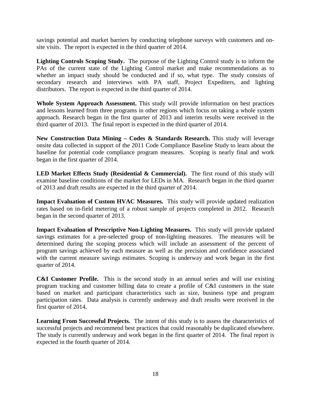savings potential and market barriers by conducting telephone surveys with customers and onsite visits. The report is expected in the third quarter of 2014.

**Lighting Controls Scoping Study.** The purpose of the Lighting Control study is to inform the PAs of the current state of the Lighting Control market and make recommendations as to whether an impact study should be conducted and if so, what type. The study consists of secondary research and interviews with PA staff, Project Expediters, and lighting distributors. The report is expected in the third quarter of 2014.

**Whole System Approach Assessment.** This study will provide information on best practices and lessons learned from three programs in other regions which focus on taking a whole system approach. Research began in the first quarter of 2013 and interim results were received in the third quarter of 2013. The final report is expected in the third quarter of 2014.

**New Construction Data Mining – Codes & Standards Research.** This study will leverage onsite data collected in support of the 2011 Code Compliance Baseline Study to learn about the baseline for potential code compliance program measures. Scoping is nearly final and work began in the first quarter of 2014.

LED Market Effects Study (Residential & Commercial). The first round of this study will examine baseline conditions of the market for LEDs in MA. Research began in the third quarter of 2013 and draft results are expected in the third quarter of 2014.

**Impact Evaluation of Custom HVAC Measures.** This study will provide updated realization rates based on in-field metering of a robust sample of projects completed in 2012. Research began in the second quarter of 2013.

**Impact Evaluation of Prescriptive Non-Lighting Measures.** This study will provide updated savings estimates for a pre-selected group of non-lighting measures. The measures will be determined during the scoping process which will include an assessment of the percent of program savings achieved by each measure as well as the precision and confidence associated with the current measure savings estimates. Scoping is underway and work began in the first quarter of 2014.

**C&I Customer Profile.** This is the second study in an annual series and will use existing program tracking and customer billing data to create a profile of C&I customers in the state based on market and participant characteristics such as size, business type and program participation rates. Data analysis is currently underway and draft results were received in the first quarter of 2014.

**Learning From Successful Projects.** The intent of this study is to assess the characteristics of successful projects and recommend best practices that could reasonably be duplicated elsewhere. The study is currently underway and work began in the first quarter of 2014. The final report is expected in the fourth quarter of 2014.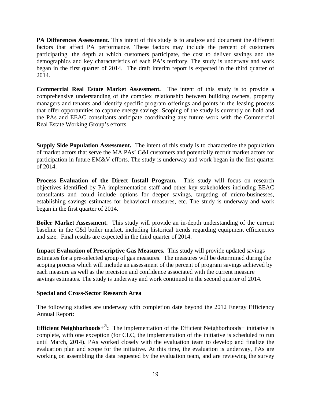**PA Differences Assessment.** This intent of this study is to analyze and document the different factors that affect PA performance. These factors may include the percent of customers participating, the depth at which customers participate, the cost to deliver savings and the demographics and key characteristics of each PA's territory. The study is underway and work began in the first quarter of 2014. The draft interim report is expected in the third quarter of 2014.

**Commercial Real Estate Market Assessment.** The intent of this study is to provide a comprehensive understanding of the complex relationship between building owners, property managers and tenants and identify specific program offerings and points in the leasing process that offer opportunities to capture energy savings. Scoping of the study is currently on hold and the PAs and EEAC consultants anticipate coordinating any future work with the Commercial Real Estate Working Group's efforts.

**Supply Side Population Assessment.** The intent of this study is to characterize the population of market actors that serve the MA PAs' C&I customers and potentially recruit market actors for participation in future EM&V efforts. The study is underway and work began in the first quarter of 2014.

**Process Evaluation of the Direct Install Program.** This study will focus on research objectives identified by PA implementation staff and other key stakeholders including EEAC consultants and could include options for deeper savings, targeting of micro-businesses, establishing savings estimates for behavioral measures, etc. The study is underway and work began in the first quarter of 2014.

**Boiler Market Assessment.** This study will provide an in-depth understanding of the current baseline in the C&I boiler market, including historical trends regarding equipment efficiencies and size. Final results are expected in the third quarter of 2014.

**Impact Evaluation of Prescriptive Gas Measures.** This study will provide updated savings estimates for a pre-selected group of gas measures. The measures will be determined during the scoping process which will include an assessment of the percent of program savings achieved by each measure as well as the precision and confidence associated with the current measure savings estimates. The study is underway and work continued in the second quarter of 2014.

## **Special and Cross-Sector Research Area**

The following studies are underway with completion date beyond the 2012 Energy Efficiency Annual Report:

**Efficient Neighborhoods+** $\mathbb{B}$ **:** The implementation of the Efficient Neighborhoods+ initiative is complete, with one exception (for CLC, the implementation of the initiative is scheduled to run until March, 2014). PAs worked closely with the evaluation team to develop and finalize the evaluation plan and scope for the initiative. At this time, the evaluation is underway, PAs are working on assembling the data requested by the evaluation team, and are reviewing the survey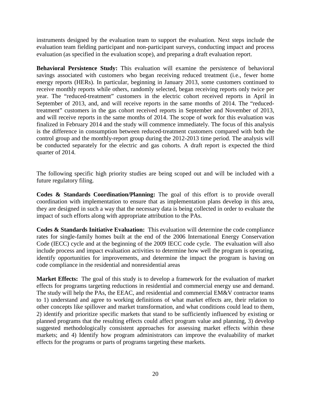instruments designed by the evaluation team to support the evaluation. Next steps include the evaluation team fielding participant and non-participant surveys, conducting impact and process evaluation (as specified in the evaluation scope), and preparing a draft evaluation report.

**Behavioral Persistence Study:** This evaluation will examine the persistence of behavioral savings associated with customers who began receiving reduced treatment (i.e., fewer home energy reports (HERs). In particular, beginning in January 2013, some customers continued to receive monthly reports while others, randomly selected, began receiving reports only twice per year. The "reduced-treatment" customers in the electric cohort received reports in April in September of 2013, and, and will receive reports in the same months of 2014. The "reducedtreatment" customers in the gas cohort received reports in September and November of 2013, and will receive reports in the same months of 2014. The scope of work for this evaluation was finalized in February 2014 and the study will commence immediately. The focus of this analysis is the difference in consumption between reduced-treatment customers compared with both the control group and the monthly-report group during the 2012-2013 time period. The analysis will be conducted separately for the electric and gas cohorts. A draft report is expected the third quarter of 2014.

The following specific high priority studies are being scoped out and will be included with a future regulatory filing.

**Codes & Standards Coordination/Planning:** The goal of this effort is to provide overall coordination with implementation to ensure that as implementation plans develop in this area, they are designed in such a way that the necessary data is being collected in order to evaluate the impact of such efforts along with appropriate attribution to the PAs.

**Codes & Standards Initiative Evaluation:** This evaluation will determine the code compliance rates for single-family homes built at the end of the 2006 International Energy Conservation Code (IECC) cycle and at the beginning of the 2009 IECC code cycle. The evaluation will also include process and impact evaluation activities to determine how well the program is operating, identify opportunities for improvements, and determine the impact the program is having on code compliance in the residential and nonresidential areas

**Market Effects:** The goal of this study is to develop a framework for the evaluation of market effects for programs targeting reductions in residential and commercial energy use and demand. The study will help the PAs, the EEAC, and residential and commercial EM&V contractor teams to 1) understand and agree to working definitions of what market effects are, their relation to other concepts like spillover and market transformation, and what conditions could lead to them, 2) identify and prioritize specific markets that stand to be sufficiently influenced by existing or planned programs that the resulting effects could affect program value and planning, 3) develop suggested methodologically consistent approaches for assessing market effects within these markets; and 4) Identify how program administrators can improve the evaluability of market effects for the programs or parts of programs targeting these markets.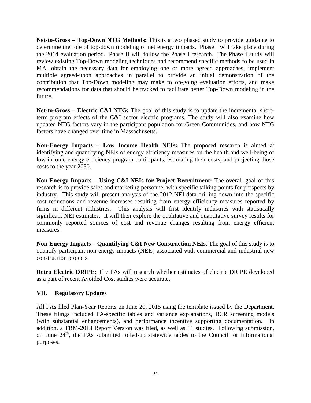**Net-to-Gross – Top-Down NTG Methods:** This is a two phased study to provide guidance to determine the role of top-down modeling of net energy impacts. Phase I will take place during the 2014 evaluation period. Phase II will follow the Phase I research. The Phase I study will review existing Top-Down modeling techniques and recommend specific methods to be used in MA, obtain the necessary data for employing one or more agreed approaches, implement multiple agreed-upon approaches in parallel to provide an initial demonstration of the contribution that Top-Down modeling may make to on-going evaluation efforts, and make recommendations for data that should be tracked to facilitate better Top-Down modeling in the future.

**Net-to-Gross – Electric C&I NTG:** The goal of this study is to update the incremental shortterm program effects of the C&I sector electric programs. The study will also examine how updated NTG factors vary in the participant population for Green Communities, and how NTG factors have changed over time in Massachusetts.

**Non-Energy Impacts – Low Income Health NEIs:** The proposed research is aimed at identifying and quantifying NEIs of energy efficiency measures on the health and well-being of low-income energy efficiency program participants, estimating their costs, and projecting those costs to the year 2050.

**Non-Energy Impacts – Using C&I NEIs for Project Recruitment:** The overall goal of this research is to provide sales and marketing personnel with specific talking points for prospects by industry. This study will present analysis of the 2012 NEI data drilling down into the specific cost reductions and revenue increases resulting from energy efficiency measures reported by firms in different industries. This analysis will first identify industries with statistically significant NEI estimates. It will then explore the qualitative and quantitative survey results for commonly reported sources of cost and revenue changes resulting from energy efficient measures.

**Non-Energy Impacts – Quantifying C&I New Construction NEIs**: The goal of this study is to quantify participant non-energy impacts (NEIs) associated with commercial and industrial new construction projects.

**Retro Electric DRIPE:** The PAs will research whether estimates of electric DRIPE developed as a part of recent Avoided Cost studies were accurate.

## <span id="page-21-0"></span>**VII. Regulatory Updates**

All PAs filed Plan-Year Reports on June 20, 2015 using the template issued by the Department. These filings included PA-specific tables and variance explanations, BCR screening models (with substantial enhancements), and performance incentive supporting documentation. In addition, a TRM-2013 Report Version was filed, as well as 11 studies. Following submission, on June 24<sup>th</sup>, the PAs submitted rolled-up statewide tables to the Council for informational purposes.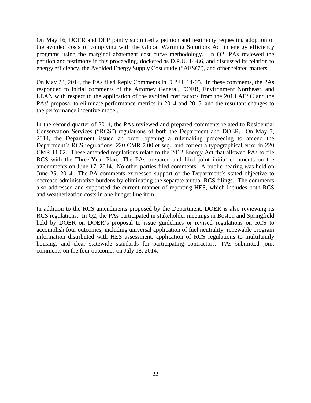On May 16, DOER and DEP jointly submitted a petition and testimony requesting adoption of the avoided costs of complying with the Global Warming Solutions Act in energy efficiency programs using the marginal abatement cost curve methodology. In Q2, PAs reviewed the petition and testimony in this proceeding, docketed as D.P.U. 14-86, and discussed its relation to energy efficiency, the Avoided Energy Supply Cost study ("AESC"), and other related matters.

On May 23, 2014, the PAs filed Reply Comments in D.P.U. 14-05. In these comments, the PAs responded to initial comments of the Attorney General, DOER, Environment Northeast, and LEAN with respect to the application of the avoided cost factors from the 2013 AESC and the PAs' proposal to eliminate performance metrics in 2014 and 2015, and the resultant changes to the performance incentive model.

In the second quarter of 2014, the PAs reviewed and prepared comments related to Residential Conservation Services ("RCS") regulations of both the Department and DOER. On May 7, 2014, the Department issued an order opening a rulemaking proceeding to amend the Department's RCS regulations, 220 CMR 7.00 et seq., and correct a typographical error in 220 CMR 11.02. These amended regulations relate to the 2012 Energy Act that allowed PAs to file RCS with the Three-Year Plan. The PAs prepared and filed joint initial comments on the amendments on June 17, 2014. No other parties filed comments. A public hearing was held on June 25, 2014. The PA comments expressed support of the Department's stated objective to decrease administrative burdens by eliminating the separate annual RCS filings. The comments also addressed and supported the current manner of reporting HES, which includes both RCS and weatherization costs in one budget line item.

In addition to the RCS amendments proposed by the Department, DOER is also reviewing its RCS regulations. In Q2, the PAs participated in stakeholder meetings in Boston and Springfield held by DOER on DOER's proposal to issue guidelines or revised regulations on RCS to accomplish four outcomes, including universal application of fuel neutrality; renewable program information distributed with HES assessment; application of RCS regulations to multifamily housing; and clear statewide standards for participating contractors. PAs submitted joint comments on the four outcomes on July 18, 2014.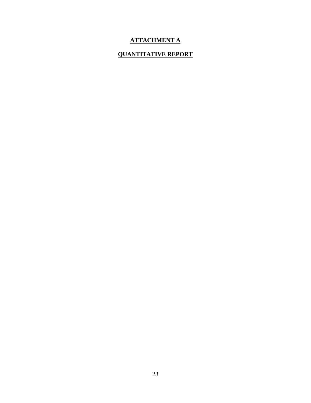## **ATTACHMENT A**

## **QUANTITATIVE REPORT**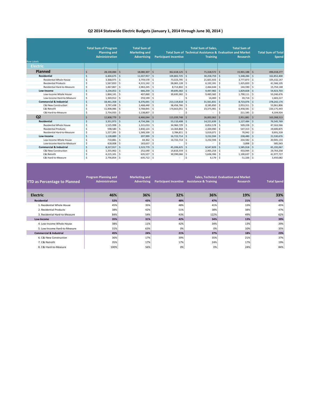#### **Q2 2014 Statewide Electric Budgets (January 1, 2014 through June 30, 2014 )**

|                                    | <b>Total Sum of Program</b>     |    | <b>Total Sum of</b>  |              |                              |           | <b>Total Sum of Sales.</b> | <b>Total Sum of</b>                                       |             |                            |
|------------------------------------|---------------------------------|----|----------------------|--------------|------------------------------|-----------|----------------------------|-----------------------------------------------------------|-------------|----------------------------|
|                                    | <b>Planning and</b>             |    | <b>Marketing and</b> |              |                              |           |                            | Total Sum of Technical Assistance & Evaluation and Market |             | <b>Total Sum of Total</b>  |
|                                    | <b>Administration</b>           |    | <b>Advertising</b>   |              | <b>Participant Incentive</b> |           | <b>Training</b>            | Research                                                  |             | <b>Spend</b>               |
| <b>Row Labels</b>                  |                                 |    |                      |              |                              |           |                            |                                                           |             |                            |
|                                    |                                 |    |                      |              |                              |           |                            |                                                           |             |                            |
| <b>Electric</b>                    |                                 |    |                      |              |                              |           |                            |                                                           |             |                            |
| <b>Planned</b>                     | 28,100,084                      | Ś  | 18,080,307           | <sub>S</sub> | $362,618,125$ \$             |           | 71,318,572                 | \$<br>15,901,188                                          |             | -S<br>496,018,277          |
| <b>Residential</b>                 | $\zeta$<br>6,404,675            | \$ | 11,037,957           | <sub>S</sub> | 109,802,725                  | l s       | 30,258,759                 | $\mathsf{\hat{S}}$<br>5,348,284                           |             | -Ŝ<br>162,852,400          |
| Residential Whole House            | 3,368,975<br>\$                 | Ŝ  | 3,759,570            | Ŝ.           | 73,023,795 \$                |           | 21,601,933                 | 3,777,873<br>Ś                                            |             | -Ŝ<br>105,532,147          |
| <b>Residential Products</b>        | Ś<br>1,567,833                  | Ŝ  | 4,315,142            | .S           | 28,065,128                   | -Ŝ        | 6,192,181                  | Ś<br>1,425,820                                            |             | 41,566,105<br>Ŝ            |
| Residential Hard-to-Measure        | Ś<br>1,467,867                  | Ŝ  | 2,963,245            | <sub>S</sub> | 8,713,802                    | -Ŝ        | 2,464,644                  | 144,590<br>Ś                                              |             | -Ŝ<br>15,754,148           |
| Low-Income                         | $\mathsf{\hat{S}}$<br>3,234,052 | Ŝ  | 666,259              | -Ŝ           | $39,695,582$ \$              |           | 9,497,982                  | 1.829.828<br>\$.                                          | -S          | 54,923,703                 |
| Low-Income Whole House             | Ś<br>1,864,141                  | Ŝ  | 407,060              | <sub>S</sub> | 39,695,582                   | -Ŝ        | 9,483,582                  | 1,790,111<br>Ś                                            |             | -\$<br>53,240,476          |
| Low-Income Hard-to-Measure         | \$<br>1,369,912                 | Ś  | 259,199              | Ŝ            |                              |           | 14,400                     | 39,716<br>Ś                                               |             | -Ŝ<br>1,683,227            |
| <b>Commercial &amp; Industrial</b> | 18,461,358<br>Ś                 | Ś  | 6,376,091            | -Ŝ           | 213,119,818                  | ۱Ś        | 31,561,831                 | Ŝ.<br>8,723,076                                           |             | - Ś<br>278,242,174         |
| C&I New Construction               | Ś<br>3,797,438                  | \$ | 1,468,440            | Ŝ.           | 38,456,766                   | Ŝ.        | 8,185,850                  | 2,053,311<br>Ś                                            |             | 53,961,806<br>-\$          |
| C&I Retrofit                       | 11,908,986<br>Ś                 | Ś  | 3,768,845            | Ŝ            | 174,663,051                  | -Ŝ        | 23,375,981                 | 6,458,581<br>Ś                                            |             | 220,175,443<br>-Ŝ          |
| C&I Hard-to-Measure                | 2,754,933                       | Ŝ  | 1,138,807            | Ŝ            |                              |           |                            | 211,185<br>Ś                                              |             | -Ŝ<br>4,104,924            |
| Q <sub>2</sub>                     | 12,808,779                      | Ś  | 6,466,044            | Ŝ            | $115,039,748$ \$             |           | 26,002,062                 | 2,951,881<br>Ś                                            |             | Ŝ<br>163,268,513           |
| <b>Residential</b>                 | $\zeta$<br>3,351,973            | Ś  | 4,734,266            | Ŝ.           | 53,110,408                   | $\vert$ s | 14,221,639                 | Ś<br>1,127,484                                            | -Ś          | 76,545,769                 |
| Residential Whole House            | Ś<br>1,525,998                  | Ś  | 1,315,033            | -S           | 34,960,729                   | Ŝ.        | 8,852,578                  | 509,228<br>Ś                                              |             | 47,163,566<br>-Ŝ           |
| <b>Residential Products</b>        | Ś<br>598,580                    | Ŝ  | 1,830,124            | Ŝ            | 14,364,868                   | Ŝ.        | 2,349,990                  | Ś<br>547,313                                              |             | 19,690,875<br>-Ś           |
| Residential Hard-to-Measure        | \$<br>1,227,395                 | Ŝ  | 1,589,109            | Ŝ.           | 3,784,811                    | l s       | 3,019,071                  | 70,942<br>Ŝ.                                              |             | $\mathcal{S}$<br>9,691,328 |
| Low-Income                         | Ŝ.<br>1,128,889                 | Ś  | 207,999              | S,           | 16,722,714                   | l s       | 3,232,594                  | 238,480<br>\$.                                            | -Ś          | 21,530,676                 |
| Low-Income Whole House             | Ś<br>710,881                    | Ś  | 44,362               | Ŝ.           | 16,722,714                   | Ŝ.        | 3,232,594                  | 234,582<br>Ś                                              |             | -Ŝ<br>20,945,133           |
| Low-Income Hard-to-Measure         | <sub>S</sub><br>418,008         | Ś  | 163,637              | Ŝ            |                              |           | ٠                          | 3,898<br>Ś                                                | -S          | 585,543                    |
| <b>Commercial &amp; Industrial</b> | 8,327,917<br>Ŝ.                 | \$ | 1,523,779            | S,           | 45,206,625                   | l Ś       | 8,547,829                  | Ś<br>1,585,918                                            | - Ś         | 65,192,067                 |
| C&I New Construction               | Ś<br>1,355,962                  | Ś  | 252,540              | Ŝ.           | 14,816,559                   | Ŝ.        | 2,905,254                  | 433,944<br>Ś                                              |             | -Ŝ<br>19,764,258           |
| C&I Retrofit                       | Ŝ<br>4,215,101                  | Ŝ  | 635,527              | Ŝ.           | $30,390,066$ \$              |           | 5,636,396                  | 1,100,637<br>Ś                                            |             | 41,977,727<br>-Ŝ           |
| C&I Hard-to-Measure                | Ś<br>2,756,854                  | \$ | $635,712$ \$         |              |                              | -\$       | 6,179                      | \$                                                        | $51,336$ \$ | 3,450,082                  |

| <b>YTD</b> as Percentage to Planned | <b>Program Planning and</b><br>Administration | <b>Marketing and</b><br><b>Advertising</b> |     | <b>Participant Incentive Assistance &amp; Training</b> | <b>Sales, Technical Evaluation and Market</b><br><b>Research</b> | <b>Total Spend</b> |
|-------------------------------------|-----------------------------------------------|--------------------------------------------|-----|--------------------------------------------------------|------------------------------------------------------------------|--------------------|
| <b>Electric</b>                     | 46%                                           | 36%                                        | 32% | 36%                                                    | 19%                                                              | 33%                |
| <b>Residential</b>                  | 52%                                           | 43%                                        | 48% | 47%                                                    | 21%                                                              | 47%                |
| 1. Residential Whole House          | 45%                                           | 35%                                        | 48% | 41%                                                    | 13%                                                              | 45%                |
| 2. Residential Products             | 38%                                           | 42%                                        | 51% | 38%                                                    | 38%                                                              | 47%                |
| 3. Residential Hard-to-Measure      | 84%                                           | 54%                                        | 43% | 122%                                                   | 49%                                                              | 62%                |
| Low-Income                          | 35%                                           | 31%                                        | 42% | 34%                                                    | 13%                                                              | 39%                |
| 4. Low-Income Whole House           | 38%                                           | 11%                                        | 42% | 34%                                                    | 13%                                                              | 39%                |
| 5. Low-Income Hard-to-Measure       | 31%                                           | 63%                                        | 0%  | 0%                                                     | 10%                                                              | 35%                |
| <b>Commercial &amp; Industrial</b>  | 45%                                           | 24%                                        | 21% | 27%                                                    | 18%                                                              | 23%                |
| 6. C&I New Construction             | 36%                                           | 17%                                        | 39% | 35%                                                    | 21%                                                              | 37%                |
| 7. C&I Retrofit                     | 35%                                           | 17%                                        | 17% | 24%                                                    | 17%                                                              | 19%                |
| 8. C&I Hard-to-Measure              | 100%                                          | 56%                                        | 0%  | 0%                                                     | 24%                                                              | 84%                |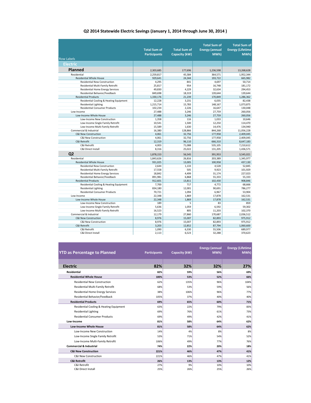#### **Q2 2014 Statewide Electric Savings (January 1, 2014 through June 30, 2014 )**

| <b>Row Labels</b>                       | <b>Total Sum of</b><br><b>Participants</b> | <b>Total Sum of</b><br>Capacity (kW) | <b>Total Sum of</b><br><b>Energy (annual</b><br>MWh) | <b>Total Sum of</b><br><b>Energy (Lifetime</b><br><b>MWh</b> |
|-----------------------------------------|--------------------------------------------|--------------------------------------|------------------------------------------------------|--------------------------------------------------------------|
| <b>Electric</b>                         |                                            |                                      |                                                      |                                                              |
|                                         |                                            |                                      |                                                      |                                                              |
| Planned                                 | 2,303,685                                  | 177,696                              | 1,236,598                                            | 13,268,628                                                   |
| Residential                             | 2,259,817                                  | 45,584                               | 364,571                                              | 1,952,344                                                    |
| <b>Residential Whole House</b>          | 929,641                                    | 24.344                               | 193,722                                              | 665,982                                                      |
| <b>Residential New Construction</b>     | 4,295                                      | 841                                  | 4,697                                                | 50,714                                                       |
| Residential Multi-Family Retrofit       | 25,817                                     | 954                                  | 16,748                                               | 181,172                                                      |
| Residential Home Energy Services        | 49,830                                     | 4,229                                | 32,634                                               | 294,453                                                      |
| Residential Behavior/Feedback           | 849,698                                    | 18,319                               | 139,644                                              | 139,644                                                      |
| <b>Residential Products</b>             | 1,330,176                                  | 21,239                               | 170,849                                              | 1,286,362                                                    |
| Residential Cooling & Heating Equipment | 12.228                                     | 3.231                                | 6.035                                                | 82.438                                                       |
| <b>Residential Lighting</b>             | 1,215,714                                  | 15,783                               | 148,167                                              | 1.073.875                                                    |
| <b>Residential Consumer Products</b>    | 102,234                                    | 2,226                                | 16,647                                               | 130,048                                                      |
| Low-Income                              | 27,488                                     | 3,246                                | 27,759                                               | 260,056                                                      |
| Low-Income Whole House                  | 27,488                                     | 3,246                                | 27,759                                               | 260,056                                                      |
| Low-Income New Construction             | 1,358                                      | 116                                  | 1,033                                                | 10,646                                                       |
| Low-Income Single Family Retrofit       | 10,541                                     | 1,500                                | 12,250                                               | 114,470                                                      |
| Low-Income Multi-Family Retrofit        | 15,589                                     | 1.630                                | 14.476                                               | 134.940                                                      |
| Commercial & Industrial                 | 16,380                                     | 128,866                              | 844,268                                              | 11,056,228                                                   |
| <b>C&amp;I New Construction</b>         | 4,061                                      | 32,756                               | 177,958                                              | 2,409,045                                                    |
| <b>C&amp;I New Construction</b>         | 4,061                                      | 32,756                               | 177,958                                              | 2,409,045                                                    |
| C&I Retrofit                            | 12,319                                     | 96,110                               | 666,310                                              | 8,647,183                                                    |
| C&I Retrofit                            | 4,003                                      | 71,088                               | 535,105                                              | 7,210,612                                                    |
| C&I Direct Install                      | 8,316                                      | 25,022                               | 131,205                                              | 1,436,571                                                    |
| Q <sub>2</sub>                          | 1,878,153                                  | 56,545                               | 391,953                                              | 3,545,021                                                    |
| Residential                             | 1,843,626                                  | 26,816                               | 203,389                                              | 1,345,977                                                    |
| <b>Residential Whole House</b>          | 931,025                                    | 13,005                               | 100,958                                              | 437,130                                                      |
| <b>Residential New Construction</b>     | 2.644                                      | 1.133                                | 4,528                                                | 52.845                                                       |
| Residential Multi-Family Retrofit       | 17,558                                     | 505                                  | 9.923                                                | 101,929                                                      |
| Residential Home Energy Services        | 18,842                                     | 4,499                                | 31,174                                               | 227,023                                                      |
| Residential Behavior/Feedback           | 891,981                                    | 6,868                                | 55,333                                               | 55,333                                                       |
| <b>Residential Products</b>             | 912,601                                    | 13,811                               | 102,430                                              | 908,846                                                      |
| Residential Cooling & Heating Equipment | 7,700                                      | 717                                  | 4.772                                                | 68,666                                                       |
| <b>Residential Lighting</b>             | 834,180                                    | 12,001                               | 90,691                                               | 786,277                                                      |
| <b>Residential Consumer Products</b>    | 70.721                                     | 1.094                                | 6,967                                                | 53.904                                                       |
| Low-Income                              | 22,348                                     | 1,869                                | 17,878                                               | 162,531                                                      |
| Low-Income Whole House                  | 22,348                                     | 1,869                                | 17,878                                               | 162,531                                                      |
| Low-Income New Construction             | 189                                        | 5                                    | 83                                                   | 859                                                          |
| Low-Income Single Family Retrofit       | 5,636                                      | 1,059                                | 6,592                                                | 59,302                                                       |
| Low-Income Multi-Family Retrofit        | 16,523                                     | 805                                  | 11,203                                               | 102,370                                                      |
| Commercial & Industrial                 | 12,179                                     | 27,860                               | 170,687                                              | 2,036,512                                                    |
| C&I New Construction                    | 8,976                                      | 15,007                               | 82,893                                               | 975,912                                                      |
| <b>C&amp;I New Construction</b>         | 8,976                                      | 15.007                               | 82.893                                               | 975.912                                                      |
| C&I Retrofit                            | 3,203                                      | 12,852                               | 87,794                                               | 1,060,600                                                    |
| C&I Retrofit                            | 1,090                                      | 6,330                                | 55,506                                               | 689,977                                                      |
| C&I Direct Install                      | 2,113                                      | 6,523                                | 32,288                                               | 370,623                                                      |

| <b>YTD as Percentage to Planned</b>     | <b>Participants</b> | Capacity (kW) | <b>Energy (annual</b><br><b>MWh)</b> | <b>Energy (Lifetime</b><br>MWh) |
|-----------------------------------------|---------------------|---------------|--------------------------------------|---------------------------------|
|                                         |                     |               |                                      |                                 |
| <b>Electric</b>                         | 82%                 | 32%           | 32%                                  | 27%                             |
| <b>Residential</b>                      | 82%                 | 59%           | 56%                                  | 69%                             |
| <b>Residential Whole House</b>          | 100%                | 53%           | 52%                                  | 66%                             |
| <b>Residential New Construction</b>     | 62%                 | 135%          | 96%                                  | 104%                            |
| Residential Multi-Family Retrofit       | 68%                 | 53%           | 59%                                  | 56%                             |
| <b>Residential Home Energy Services</b> | 38%                 | 106%          | 96%                                  | 77%                             |
| Residential Behavior/Feedback           | 105%                | 37%           | 40%                                  | 40%                             |
| <b>Residential Products</b>             | 69%                 | 65%           | 60%                                  | 71%                             |
| Residential Cooling & Heating Equipment | 63%                 | 22%           | 79%                                  | 83%                             |
| <b>Residential Lighting</b>             | 69%                 | 76%           | 61%                                  | 73%                             |
| <b>Residential Consumer Products</b>    | 69%                 | 49%           | 42%                                  | 41%                             |
| Low-Income                              | 81%                 | 58%           | 64%                                  | 62%                             |
| <b>Low-Income Whole House</b>           | 81%                 | 58%           | 64%                                  | 62%                             |
| Low-Income New Construction             | 14%                 | 4%            | 8%                                   | 8%                              |
| Low-Income Single Family Retrofit       | 53%                 | 71%           | 54%                                  | 52%                             |
| Low-Income Multi-Family Retrofit        | 106%                | 49%           | 77%                                  | 76%                             |
| <b>Commercial &amp; Industrial</b>      | 74%                 | 22%           | 20%                                  | 18%                             |
| <b>C&amp;I New Construction</b>         | 221%                | 46%           | 47%                                  | 41%                             |
| C&I New Construction                    | 221%                | 46%           | 47%                                  | 41%                             |
| <b>C&amp;I Retrofit</b>                 | 26%                 | 13%           | 13%                                  | 12%                             |
| C&I Retrofit                            | 27%                 | 9%            | 10%                                  | 10%                             |
| C&I Direct Install                      | 25%                 | 26%           | 25%                                  | 26%                             |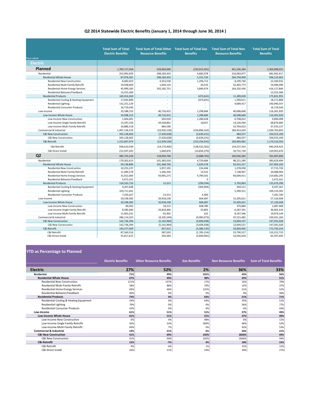#### **Q2 2014 Statewide Electric Benefits (January 1, 2014 through June 30, 2014 )**

|                                         | <b>Total Sum of Total</b> |                                                                             |                 | <b>Total Sum of Total Non</b> | <b>Total Sum of Total</b> |
|-----------------------------------------|---------------------------|-----------------------------------------------------------------------------|-----------------|-------------------------------|---------------------------|
|                                         | <b>Electric Benefits</b>  | Total Sum of Total Other Total Sum of Total Gas<br><b>Resource Benefits</b> | <b>Benefits</b> | <b>Resource Benefits</b>      | <b>Benefits</b>           |
| <b>Row Labels</b>                       |                           |                                                                             |                 |                               |                           |
| Electric                                |                           |                                                                             |                 |                               |                           |
| Planned                                 | 1,783,717,458             | 228,969,690                                                                 | (150, 915, 401) | 441,236,284                   | 2,303,008,031             |
| Residential                             |                           |                                                                             |                 |                               | 681.942.417               |
|                                         | 252,992,929               | 208,183,433                                                                 | 4,682,078       | 216,083,977                   |                           |
| Residential Whole House                 | 87,976,361                | 208,183,433                                                                 | 5,155,720       | 204,794,949                   | 506,110,462               |
| <b>Residential New Construction</b>     | 8,482,923                 | 4,353,558                                                                   | 1,294,713       | 8,199,740                     | 22,330,932                |
| Residential Multi-Family Retrofit       | 19,938,669                | 1,644,124                                                                   | 20,533          | 32,492,773                    | 54,096,099                |
| <b>Residential Home Energy Services</b> | 45,999,185                | 202,185,751                                                                 | 3,840,474       | 164,102,436                   | 416,127,846               |
| Residential Behavior/Feedback           | 13,555,584                | ÷.                                                                          | ÷               |                               | 13,555,584                |
| <b>Residential Products</b>             | 165,016,569               | $\sim$                                                                      | (473, 641)      | 11,289,028                    | 175,831,955               |
| Residential Cooling & Heating Equipment | 17,045,899                | $\sim$                                                                      | (473, 641)      | 1,599,611                     | 18,171,868                |
| <b>Residential Lighting</b>             | 131,251,129               | ÷                                                                           |                 | 9,689,417                     | 140,940,547               |
| <b>Residential Consumer Products</b>    | 16,719,540                | $\overline{a}$                                                              | $\overline{a}$  |                               | 16,719,540                |
| Low-Income                              | 33,588,153                | 40,716,415                                                                  | 1,298,684       | 40,698,668                    | 116,301,920               |
| Low-Income Whole House                  | 33,588,153                | 40,716,415                                                                  | 1,298,684       | 40,698,668                    | 116,301,920               |
| Low-Income New Construction             | 1,404,401                 | 503,018                                                                     | 1,280,628       | 6,708,052                     | 9,896,098                 |
| Low-Income Single Family Retrofit       | 15,297,234                | 39,328,801                                                                  | 18,057          | 14,226,594                    | 68,870,685                |
| Low-Income Multi-Family Retrofit        | 16,886,518                | 884,596                                                                     |                 | 19,764,023                    | 37,535,137                |
| Commercial & Industrial                 | 1,497,136,376             | (19,930,158)                                                                | (156, 896, 163) | 184,453,639                   | 1,504,763,693             |
| <b>C&amp;I New Construction</b>         | 345,128,402               | (7,420,628)                                                                 | (3,639,231)     | 484,557                       | 334,553,100               |
| C&I New Construction                    | 345,128,402               | (7,420,628)                                                                 | (3,639,231)     | 484,557                       | 334,553,100               |
| C&I Retrofit                            | 1,152,007,974             | (12,509,530)                                                                | (153, 256, 932) | 183,969,082                   | 1,170,210,593             |
| C&I Retrofit                            | 938,610,549               | (14, 170, 406)                                                              | (138, 422, 562) | 154,237,342                   | 940,254,923               |
| C&I Direct Install                      | 213,397,425               | 1,660,876                                                                   | (14, 834, 370)  | 29,731,739                    | 229,955,670               |
| Q <sub>2</sub>                          | 485,755,318               | 118,094,706                                                                 | (3,688,702)     | 160,936,283                   | 761,097,605               |
| Residential                             | 179,302,613               | 101,382,018                                                                 | 4,729,684       | 98,215,180                    | 383,629,494               |
| <b>Residential Whole House</b>          | 59,138,896                | 101,368,704                                                                 | 5,029,278       | 92,422,317                    | 257,959,195               |
| <b>Residential New Construction</b>     | 10,255,237                | 5,957,105                                                                   | 224,446         | 1,278,938                     | 17,715,726                |
| Residential Multi-Family Retrofit       | 11,489,278                | 1,446,326                                                                   | 14,332          | 7,138,967                     | 20,088,904                |
| Residential Home Energy Services        | 31,922,060                | 93,965,273                                                                  | 4,790,501       | 84,004,411                    | 214,682,245               |
| Residential Behavior/Feedback           | 5,472,321                 | ÷                                                                           | $\Omega$        |                               | 5,472,321                 |
| <b>Residential Products</b>             | 120,163,716               | 13.313                                                                      | (299, 594)      | 5,792,863                     | 125,670,299               |
| Residential Cooling & Heating Equipment | 9,207,648                 | $\sim$                                                                      | (303, 994)      | 393.512                       | 9,297,167                 |
| <b>Residential Lighting</b>             | 103,711,041               | $\overline{a}$                                                              |                 | 5,399,351                     | 109,110,392               |
| <b>Residential Consumer Products</b>    | 7,245,027                 | 13,313                                                                      | 4,400           |                               | 7,262,740                 |
| Low-Income                              | 20,338,382                | 20,918,238                                                                  | 664,687         | 15,205,621                    | 57,126,928                |
| Low-Income Whole House                  | 20,338,382                | 20,918,238                                                                  | 664,687         | 15,205,621                    | 57,126,928                |
| Low-Income New Construction             | 89,492                    | 18,313                                                                      | 608,780         | 370,884                       | 1,087,468                 |
| Low-Income Single Family Retrofit       | 8,585,660                 | 20,834,460                                                                  | 55,805          | 6,587,391                     | 36,063,316                |
| Low-Income Multi-Family Retrofit        | 11,663,231                | 65,465                                                                      | 102             | 8,247,346                     | 19,976,144                |
| Commercial & Industrial                 | 286,114,323               | (4,205,549)                                                                 | (9,083,073)     | 47,515,482                    | 320, 341, 183             |
| C&I New Construction                    | 142,736,394               | (5, 142, 964)                                                               | (3,696,938)     | 13,694,537                    | 147,591,028               |
| C&I New Construction                    | 142,736,394               | (5, 142, 964)                                                               | (3,696,938)     | 13,694,537                    | 147,591,028               |
| C&I Retrofit                            | 143,377,929               | 937,415                                                                     | (5,386,135)     | 33,820,945                    | 172,750,154               |
| C&I Retrofit                            | 87,560,316                | 587,020                                                                     | (1,785,154)     | 23,790,527                    | 110,152,710               |
| C&I Direct Install                      | 55,817,613                | 350,394                                                                     | (3,600,981)     | 10,030,418                    | 62,597,445                |

#### **YTD as Percentage to Planned**

|                                         | <b>Electric Benefits</b> | <b>Other Resource Benefits</b> | <b>Gas Benefits</b> | <b>Non Resource Benefits</b> | <b>Sum of Total Benefits</b> |
|-----------------------------------------|--------------------------|--------------------------------|---------------------|------------------------------|------------------------------|
| <b>Electric</b>                         | 27%                      | 52%                            | 2%                  | 36%                          | 33%                          |
| <b>Residential</b>                      | 71%                      | 49%                            | 101%                | 45%                          | 56%                          |
| <b>Residential Whole House</b>          | 67%                      | 49%                            | 98%                 | 45%                          | 51%                          |
| <b>Residential New Construction</b>     | 121%                     | 137%                           | 17%                 | 16%                          | 79%                          |
| Residential Multi-Family Retrofit       | 58%                      | 88%                            | 70%                 | 22%                          | 37%                          |
| <b>Residential Home Energy Services</b> | 69%                      | 46%                            | 125%                | 51%                          | 52%                          |
| Residential Behavior/Feedback           | 40%                      | 0%                             | 0%                  | 0%                           | 40%                          |
| <b>Residential Products</b>             | 73%                      | 0%                             | 63%                 | 51%                          | 71%                          |
| Residential Cooling & Heating Equipment | 54%                      | 0%                             | 64%                 | 25%                          | 51%                          |
| <b>Residential Lighting</b>             | 79%                      | 0%                             | 0%                  | 56%                          | 77%                          |
| <b>Residential Consumer Products</b>    | 43%                      | 0%                             | 0%                  | 0%                           | 43%                          |
| Low-Income                              | 61%                      | 51%                            | 51%                 | 37%                          | 49%                          |
| <b>Low-Income Whole House</b>           | 61%                      | 51%                            | 51%                 | 37%                          | 49%                          |
| Low-Income New Construction             | 6%                       | 4%                             | 48%                 | 6%                           | 11%                          |
| Low-Income Single Family Retrofit       | 56%                      | 53%                            | 309%                | 46%                          | 52%                          |
| Low-Income Multi-Family Retrofit        | 69%                      | 7%                             | 0%                  | 42%                          | 53%                          |
| <b>Commercial &amp; Industrial</b>      | 19%                      | 21%                            | 6%                  | 26%                          | 21%                          |
| <b>C&amp;I New Construction</b>         | 41%                      | 69%                            | 102%                | 2826%                        | 44%                          |
| <b>C&amp;I New Construction</b>         | 41%                      | 69%                            | 102%                | 2826%                        | 44%                          |
| <b>C&amp;I Retrofit</b>                 | 12%                      | $-7%$                          | 4%                  | 18%                          | 15%                          |
| C&I Retrofit                            | 9%                       | $-4%$                          | 1%                  | 15%                          | 12%                          |
| <b>C&amp;I Direct Install</b>           | 26%                      | 21%                            | 24%                 | 34%                          | 27%                          |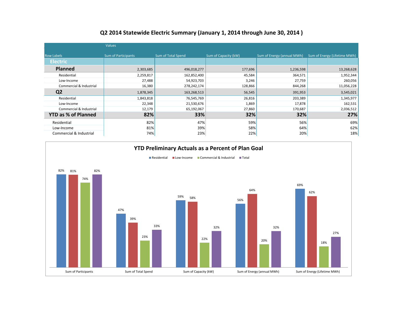|                            | <b>Values</b>              |                    |                      |                            |                              |
|----------------------------|----------------------------|--------------------|----------------------|----------------------------|------------------------------|
| <b>Row Labels</b>          | <b>Sum of Participants</b> | Sum of Total Spend | Sum of Capacity (kW) | Sum of Energy (annual MWh) | Sum of Energy (Lifetime MWh) |
| <b>Electric</b>            |                            |                    |                      |                            |                              |
| <b>Planned</b>             | 2,303,685                  | 496,018,277        | 177,696              | 1,236,598                  | 13,268,628                   |
| Residential                | 2,259,817                  | 162,852,400        | 45,584               | 364,571                    | 1,952,344                    |
| Low-Income                 | 27,488                     | 54,923,703         | 3,246                | 27,759                     | 260,056                      |
| Commercial & Industrial    | 16,380                     | 278,242,174        | 128,866              | 844,268                    | 11,056,228                   |
| Q <sub>2</sub>             | 1,878,345                  | 163,268,513        | 56,545               | 391,953                    | 3,545,021                    |
| Residential                | 1,843,818                  | 76,545,769         | 26,816               | 203,389                    | 1,345,977                    |
| Low-Income                 | 22,348                     | 21,530,676         | 1,869                | 17,878                     | 162,531                      |
| Commercial & Industrial    | 12,179                     | 65,192,067         | 27,860               | 170,687                    | 2,036,512                    |
| <b>YTD as % of Planned</b> | 82%                        | 33%                | 32%                  | 32%                        | 27%                          |
| Residential                | 82%                        | 47%                | 59%                  | 56%                        | 69%                          |
| Low-Income                 | 81%                        | 39%                | 58%                  | 64%                        | 62%                          |
| Commercial & Industrial    | 74%                        | 23%                | 22%                  | 20%                        | 18%                          |

### **Q2 2014 Statewide Electric Summary (January 1, 2014 through June 30, 2014 )**

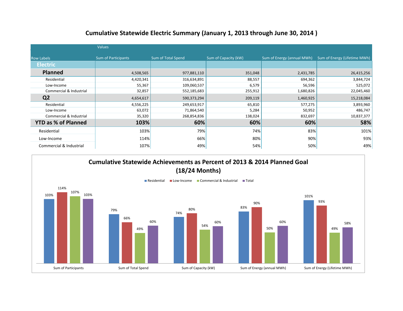| Cumulative Statewide Electric Summary (January 1, 2013 through June 30, 2014) |  |  |
|-------------------------------------------------------------------------------|--|--|
|-------------------------------------------------------------------------------|--|--|

|                            | Values                     |                    |                      |                            |                              |
|----------------------------|----------------------------|--------------------|----------------------|----------------------------|------------------------------|
| <b>Row Labels</b>          | <b>Sum of Participants</b> | Sum of Total Spend | Sum of Capacity (kW) | Sum of Energy (annual MWh) | Sum of Energy (Lifetime MWh) |
| <b>Electric</b>            |                            |                    |                      |                            |                              |
| Planned                    | 4,508,565                  | 977,881,110        | 351,048              | 2,431,785                  | 26,415,256                   |
| Residential                | 4,420,341                  | 316,634,891        | 88,557               | 694,362                    | 3,844,724                    |
| Low-Income                 | 55,367                     | 109,060,537        | 6,579                | 56,596                     | 525,072                      |
| Commercial & Industrial    | 32,857                     | 552,185,683        | 255,912              | 1,680,826                  | 22,045,460                   |
| Q <sub>2</sub>             | 4,654,617                  | 590,373,294        | 209,119              | 1,460,925                  | 15,218,084                   |
| Residential                | 4,556,225                  | 249,653,917        | 65,810               | 577,275                    | 3,893,960                    |
| Low-Income                 | 63,072                     | 71,864,540         | 5,284                | 50,952                     | 486,747                      |
| Commercial & Industrial    | 35,320                     | 268,854,836        | 138,024              | 832,697                    | 10,837,377                   |
| <b>YTD as % of Planned</b> | 103%                       | 60%                | 60%                  | 60%                        | 58%                          |
| Residential                | 103%                       | 79%                | 74%                  | 83%                        | 101%                         |
| Low-Income                 | 114%                       | 66%                | 80%                  | 90%                        | 93%                          |
| Commercial & Industrial    | 107%                       | 49%                | 54%                  | 50%                        | 49%                          |

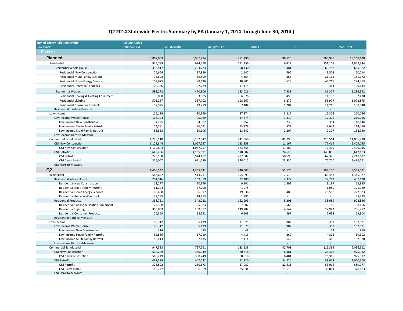### **Q2 2014 Statewide Electric Summary by PA (January 1, 2014 through June 30, 2014 )**

| <b>Sum of Energy (Lifetime MWh)</b>                                    | <b>Column Labels</b> |                   |                  |                |                 |                    |
|------------------------------------------------------------------------|----------------------|-------------------|------------------|----------------|-----------------|--------------------|
| <b>Row Labels</b>                                                      | <b>National Grid</b> | <b>NU (NSTAR)</b> | NU (WMECo)       | <b>UNITIL</b>  | <b>CLC</b>      | <b>Grand Total</b> |
| <b>Electric</b>                                                        |                      |                   |                  |                |                 |                    |
| <b>Planned</b>                                                         | 5,817,093            | 5,997,794         | 971,290          | 98,526         | 383,925         | 13,268,628         |
| Residential                                                            | 925,789              | 674,578           | 191,456          | 9,412          | 151,108         | 1,952,344          |
| <b>Residential Whole House</b>                                         | 332,517              | 203,773           | 58,430           | 1,481          | 69,782          | 665,982            |
| Residential New Construction                                           | 26,664               | 17,899            | 2,147            | 496            | 3,508           | 50,714             |
| Residential Multi-Family Retrofit                                      | 95,822               | 59,509            | 4,364            | 366            | 21,111          | 181,172            |
| <b>Residential Home Energy Services</b>                                | 109,675              | 98,636            | 40,805           | 619            | 44,718          | 294,453            |
| Residential Behavior/Feedback                                          | 100,356              | 27,729            | 11,115           | $\sim$         | 444             | 139,644            |
| <b>Residential Products</b>                                            | 593,272              | 470,806           | 133,026          | 7,931          | 81,327          | 1,286,362          |
| Residential Cooling & Heating Equipment                                | 30,090               | 33,885            | 6,876            | 455            | 11,133          | 82,438             |
| <b>Residential Lighting</b>                                            | 505,257              | 387,702           | 118,667          | 6,272          | 55,977          | 1,073,875          |
| <b>Residential Consumer Products</b>                                   | 57,925               | 49,219            | 7,484            | 1,204          | 14,216          | 130,048            |
| Residential Hard-to-Measure                                            |                      |                   |                  |                |                 | $\sim$             |
| Low-Income                                                             | 116,194              | 90,369            | 37,874           | 3,317          | 12,302          | 260,056            |
| Low-Income Whole House                                                 | 116,194              | 90,369            | 37,874           | 3,317          | 12,302          | 260,056            |
| Low-Income New Construction                                            | 4,725                | 4,082             | 1,252            | 233            | 354             | 10,646             |
| Low-Income Single Family Retrofit                                      | 54,581               | 36,091            | 13,279           | 877            | 9,642           | 114,470            |
| Low-Income Multi-Family Retrofit                                       | 56,888               | 50,196            | 23,342           | 2,207          | 2,307           | 134,940            |
| Low-Income Hard-to-Measure                                             |                      |                   |                  |                |                 |                    |
| Commercial & Industrial                                                | 4,775,110            | 5,232,847         | 741,960          | 85,796         | 220,514         | 11,056,228         |
| <b>C&amp;I New Construction</b>                                        | 1,129,844            | 1,067,257         | 123,358          | 11,167         | 77,419          | 2,409,045          |
| C&I New Construction                                                   | 1,129,844            | 1,067,257         | 123,358          | 11,167         | 77,419          | 2,409,045          |
| C&I Retrofit                                                           | 3,645,266            | 4,165,591         | 618,602          | 74,629         | 143,096         | 8,647,183          |
| C&I Retrofit                                                           | 3,270,198            | 3,544,402         | 277,987          | 50,698         | 67,326          | 7,210,612          |
| C&I Direct Install                                                     | 375,067              | 621,189           | 340,615          | 23,930         | 75,770          | 1,436,571          |
| C&I Hard-to-Measure                                                    |                      |                   |                  |                |                 | $\omega$           |
| Q <sub>2</sub>                                                         | 1,600,547            | 1,365,641         | 340,507          | 51,176         | 187,150         | 3,545,021          |
| Residential                                                            | 563,647              | 513,211           | 195,093          | 7,573          | 66,453          | 1,345,977          |
| <b>Residential Whole House</b>                                         | 204,916              | 169,979           | 32,100           | 2,372          | 27,763          | 437,130            |
| <b>Residential New Construction</b>                                    | 18,277               | 20,379            | 9,101            | 1,892          | 3,197           | 52,845             |
| Residential Multi-Family Retrofit                                      | 61,104               | 37,790            | 1,975            | $\sim$         | 1,059           | 101,929            |
| <b>Residential Home Energy Services</b>                                | 86,400               | 96,997            | 19,638           | 480            | 23,508          | 227,023            |
| Residential Behavior/Feedback                                          | 39,135               | 14,813            | 1,385            |                |                 | 55,333             |
| <b>Residential Products</b>                                            | 358,731<br>27,308    | 343,232<br>25,083 | 162,993<br>7,602 | 5,201<br>562   | 38,689<br>8,110 | 908,846            |
| Residential Cooling & Heating Equipment<br><b>Residential Lighting</b> | 305,053              | 299,857           | 149,282          | 4,142          | 27,942          | 68,666<br>786,277  |
| <b>Residential Consumer Products</b>                                   | 26,369               | 18,292            | 6,108            | 497            | 2,638           | 53,904             |
| Residential Hard-to-Measure                                            |                      |                   |                  | $\overline{a}$ |                 |                    |
| Low-Income                                                             | 89,312               | 55,139            | 11,875           | 902            | 5,303           | 162,531            |
| Low-Income Whole House                                                 | 89,312               | 55,139            | 11,875           | 902            | 5,303           | 162,531            |
| Low-Income New Construction                                            | 314                  | 485               | 48               | $\omega$       | 13              | 859                |
| Low-Income Single Family Retrofit                                      | 32,586               | 17,219            | 4,413            | 260            | 4,824           | 59,302             |
| Low-Income Multi-Family Retrofit                                       | 56,413               | 37,435            | 7,414            | 642            | 466             | 102,370            |
| Low-Income Hard-to-Measure                                             |                      |                   |                  |                |                 | $\sim$             |
| Commercial & Industrial                                                | 947,588              | 797,291           | 133,538          | 42,701         | 115,394         | 2,036,512          |
| <b>C&amp;I New Construction</b>                                        | 510,249              | 350,249           | 80,618           | 8,481          | 26,316          | 975,912            |
| C&I New Construction                                                   | 510,249              | 350,249           | 80,618           | 8,481          | 26,316          | 975,912            |
| C&I Retrofit                                                           | 437,339              | 447,042           | 52,920           | 34,220         | 89,078          | 1,060,600          |
| C&I Retrofit                                                           | 326,592              | 260,673           | 27,087           | 22,611         | 53,015          | 689,977            |
| C&I Direct Install                                                     | 110,747              | 186,369           | 25,834           | 11,610         | 36,064          | 370,623            |
| C&I Hard-to-Measure                                                    |                      |                   |                  |                | $\sim$          | $\sim$             |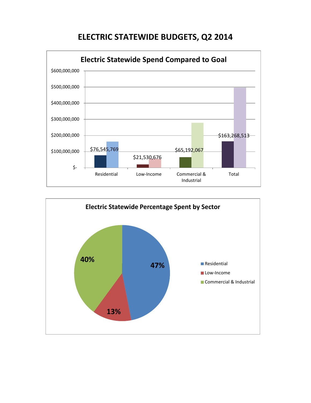# **ELECTRIC STATEWIDE BUDGETS, Q2 2014**



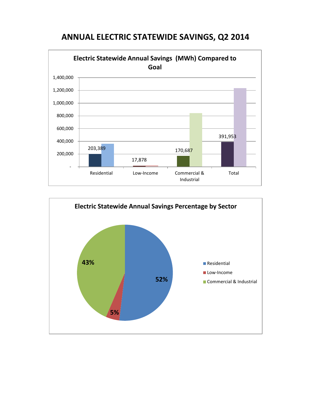

## **ANNUAL ELECTRIC STATEWIDE SAVINGS, Q2 2014**

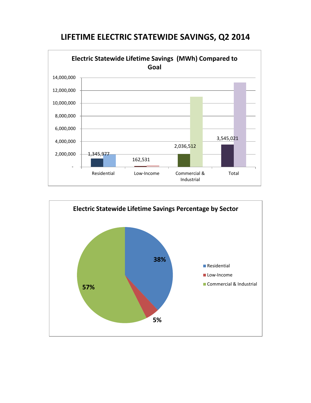



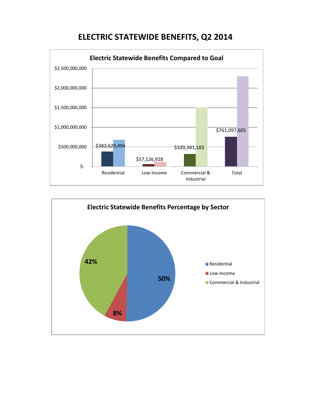# **ELECTRIC STATEWIDE BENEFITS, Q2 2014**



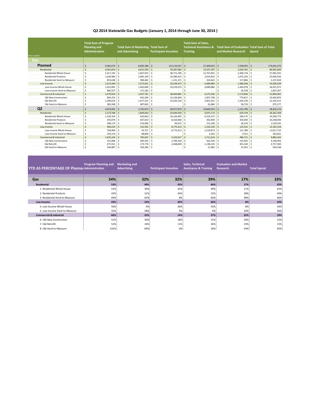#### **Q2 2014 Statewide Gas Budgets (January 1, 2014 through June 30, 2014 )**

|                                 | <b>Total Sum of Program</b><br><b>Planning and</b> |              | <b>Total Sum of Marketing Total Sum of</b> |                                  |               | <b>Total Sum of Sales,</b><br><b>Technical Assistance &amp;</b> | <b>Total Sum of Evaluation Total Sum of Total</b> |                                    |
|---------------------------------|----------------------------------------------------|--------------|--------------------------------------------|----------------------------------|---------------|-----------------------------------------------------------------|---------------------------------------------------|------------------------------------|
|                                 | <b>Administration</b>                              |              | and Advertising                            | <b>Participant Incentive</b>     |               | <b>Training</b>                                                 | and Market Research                               | Spend                              |
| <b>Row Labels</b>               |                                                    |              |                                            |                                  |               |                                                                 |                                                   |                                    |
| Gas                             |                                                    |              |                                            |                                  |               |                                                                 |                                                   |                                    |
| Planned                         | 9.005.073                                          | Ś            | 8,695,386                                  | 122,216,437<br><sup>\$</sup>     | -Ś            | 27,469,623                                                      | 7,248,953                                         | $\mathsf{S}$<br>174,635,473        |
| Residential                     | 4,301,814                                          | $\mathsf{s}$ | 4,612,595                                  | l s<br>59,287,082                | <sub>S</sub>  | 15,107,397                                                      | $3,593,781$ \$<br>-S                              | 86,902,669                         |
| <b>Residential Whole House</b>  | 2,417,192<br>¢                                     | .s           | 1,607,933                                  | Ŝ.<br>38,771,296                 | <b>S</b>      | 12,767,901                                                      | 2,400,734                                         | 57,965,055<br>Ŝ                    |
| <b>Residential Products</b>     | 1,030,984                                          | .S           | 2,095,199                                  | 19,384,415<br>Ŝ.                 | Ś             | 2,014,832                                                       | 1,075,163                                         | 25,600,593<br>Ŝ                    |
| Residential Hard-to-Measure     | 853,638                                            | Ś            | 909,463                                    | 1,131,371<br>Ŝ                   | Ś             | 324,663                                                         | 117,884                                           | 3,337,020<br>.s                    |
| Low-Income                      | 2,223,449                                          | $\mathsf{s}$ | 1,575,031                                  | 24,559,473<br>$\mathsf{S}$       | <sub>S</sub>  | 6,089,880                                                       | 1,480,506                                         | 35,928,339<br>.s                   |
| Low-Income Whole House          | 1,422,891                                          | -Ś           | 1,403,849                                  | 24,559,473<br>-Ś                 | -Ś            | 6,089,880                                                       | $1,444,978$ \$                                    | 34,921,072                         |
| Low-Income Hard-to-Measure      | 800,557<br>Š.                                      | <b>S</b>     | 171,182                                    | Ŝ                                |               |                                                                 | 35,528                                            | 1,007,267<br>.s                    |
| Commercial & Industrial         | 2,479,810                                          | $\mathsf{s}$ | 2,507,761                                  | $\mathsf{S}$<br>38,369,882       | $\zeta$       | 6,272,346                                                       | 2,174,666                                         | <sup>\$</sup><br>51,804,465        |
| <b>C&amp;I New Construction</b> | 804,253                                            | Ś            | 942,394                                    | 15,139,664<br>Ŝ                  | .s            | 1,827,748                                                       | 779,817                                           | 19,493,876<br>Ŝ                    |
| C&I Retrofit                    | 1,289,619                                          | Ś.           | 1,077,525                                  | Ŝ.<br>23,230,218                 | Ś             | 4,401,912                                                       | 1,336,139                                         | Ś<br>31,335,413                    |
| C&I Hard-to-Measure             | 385,938                                            | Ś            | 487.842                                    | -Ś                               |               | 42.686                                                          | 58,710                                            | 975,177<br>Ŝ.                      |
| Q <sub>2</sub>                  | 4,874,601                                          | Ś            | 2,792,874                                  | <sup>5</sup><br>38,677,870       | .s            | 10.849.033                                                      | 1,231,796                                         | 58,426,174<br>Ŝ.                   |
| Residential                     | 2,273,348                                          | Ś            | 1,844,663                                  | $\mathsf{S}$<br>24,649,430       | .s            | 6,975,173                                                       | 619,744                                           | $\mathsf{\hat{S}}$<br>36, 362, 358 |
| <b>Residential Whole House</b>  | 1,250,104                                          | Ś            | 620,663                                    | Ŝ.<br>16,144,695                 | Ś             | 6,319,137                                                       | 260,175<br>.s                                     | Ŝ<br>24,594,773                    |
| <b>Residential Products</b>     | 435,070                                            | .S           | 647,010                                    | Ŝ.<br>8,410,060                  | Ŝ             | 442.849                                                         | $303,050$ \$                                      | 10,238,040                         |
| Residential Hard-to-Measure     | 588,174                                            | Ś            | 576,990                                    | 94,675<br>Ŝ.                     | Ŝ             | 213,186                                                         | 56,519                                            | 1,529,545<br>Š.                    |
| Low-Income                      | 966,010                                            | $\mathsf{s}$ | 152,563                                    | 8,775,413<br>$\ddot{\mathbf{S}}$ | <sub>S</sub>  | 2,162,236                                                       | 125,331                                           | $\zeta$<br>12,181,554              |
| Low-Income Whole House          | 706,900                                            | .S           | 53,757                                     | Ŝ<br>8,775,413                   | Ŝ             | 2,159,873                                                       | 121,780                                           | 11,817,723<br>Ŝ                    |
| Low-Income Hard-to-Measure      | 259,110                                            | Ś            | 98,806                                     | Ŝ.                               | <sup>\$</sup> | 2,363                                                           | 3,551                                             | 363,831                            |
| Commercial & Industrial         | 1,635,244                                          | .s           | 795,647                                    | 5,253,027<br><sup>\$</sup>       | <sub>S</sub>  | 1,711,624                                                       | 486,721<br>-S                                     | 9,882,262<br>Ŝ.                    |
| <b>C&amp;I New Construction</b> | 412,806                                            | .S           | 285,505                                    | 2,784,418<br>Ŝ                   | <sup>\$</sup> | 562,320                                                         | 153,445                                           | 4,198,494<br>Ŝ                     |
| C&I Retrofit                    | 675,551                                            | .s           | 173,776                                    | l s<br>2,468,609                 | Ŝ             | 1,138,220                                                       | 301,344                                           | 4,757,500<br>.s                    |
| C&I Hard-to-Measure             | $546,887$ \$                                       |              | $336,366$ \$                               |                                  | Ś             | $11,083$ \$                                                     | $31,932$ \$                                       | 926,268                            |

| <b>YTD AS PERCENTAGE OF Planne(Administration)</b> | <b>Program Planning and</b> | <b>Marketing and</b><br><b>Advertising</b> | <b>Participant Incentive</b> | <b>Sales, Technical</b><br><b>Assistance &amp; Training</b> | <b>Evaluation and Market</b><br>Research | <b>Total Spend</b> |
|----------------------------------------------------|-----------------------------|--------------------------------------------|------------------------------|-------------------------------------------------------------|------------------------------------------|--------------------|
| Gas                                                | 54%                         | 32%                                        | 32%                          | 39%                                                         | 17%                                      | 33%                |
| <b>Residential</b>                                 | 53%                         | 40%                                        | 42%                          | 46%                                                         | 17%                                      | 42%                |
| 1. Residential Whole House                         | 52%                         | 39%                                        | 42%                          | 49%                                                         | 11%                                      | 42%                |
| 2. Residential Products                            | 42%                         | 31%                                        | 43%                          | 22%                                                         | 28%                                      | 40%                |
| 3. Residential Hard-to-Measure                     | 69%                         | 63%                                        | 8%                           | 66%                                                         | 48%                                      | 46%                |
| Low-Income                                         | 43%                         | 10%                                        | 36%                          | 36%                                                         | 8%                                       | 34%                |
| 4. Low-Income Whole House                          | 50%                         | 4%                                         | 36%                          | 35%                                                         | 8%                                       | 34%                |
| 5. Low-Income Hard-to-Measure                      | 32%                         | 58%                                        | 0%                           | 0%                                                          | 10%                                      | 36%                |
| <b>Commercial &amp; Industrial</b>                 | 66%                         | 32%                                        | 14%                          | 27%                                                         | 22%                                      | 19%                |
| 6. C&I New Construction                            | 51%                         | 30%                                        | 18%                          | 31%                                                         | 20%                                      | 22%                |
| 7. C&I Retrofit                                    | 52%                         | 16%                                        | 11%                          | 26%                                                         | 23%                                      | 15%                |
| 8. C&I Hard-to-Measure                             | 142%                        | 69%                                        | 0%                           | 26%                                                         | 54%                                      | 95%                |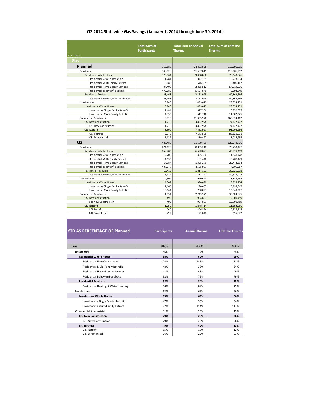#### **Q2 2014 Statewide Gas Savings (January 1, 2014 through June 30, 2014 )**

| <b>Row Labels</b>                   | <b>Total Sum of</b><br><b>Participants</b> | <b>Total Sum of Annual</b><br><b>Therms</b> | <b>Total Sum of Lifetime</b><br><b>Therms</b> |
|-------------------------------------|--------------------------------------------|---------------------------------------------|-----------------------------------------------|
| Gas                                 |                                            |                                             |                                               |
| <b>Planned</b>                      | 560,883                                    | 24,402,858                                  | 312,695,505                                   |
| Residential                         | 549.029                                    | 11,607,811                                  | 119,006,292                                   |
| <b>Residential Whole House</b>      | 520,561                                    | 9.438.886                                   | 78,143,626                                    |
| <b>Residential New Construction</b> | 1,781                                      | 372,139                                     | 8,723,534                                     |
| Residential Multi-Family Retrofit   | 8,688                                      | 546,385                                     | 9,406,167                                     |
| Residential Home Energy Services    | 34,409                                     | 2,825,512                                   | 54,319,076                                    |
| Residential Behavior/Feedback       | 475.683                                    | 5.694.849                                   | 5,694,849                                     |
| <b>Residential Products</b>         | 28.468                                     | 2,168,925                                   | 40,862,666                                    |
| Residential Heating & Water Heating | 28,468                                     | 2,168,925                                   | 40,862,666                                    |
| Low-Income                          | 6,840                                      | 1,439,072                                   | 28,354,751                                    |
| Low-Income Whole House              | 6.840                                      | 1,439,072                                   | 28,354,751                                    |
| Low-Income Single Family Retrofit   | 2.484                                      | 827,356                                     | 16,852,525                                    |
| Low-Income Multi-Family Retrofit    | 4,356                                      | 611,716                                     | 11,502,225                                    |
| Commercial & Industrial             | 5,015                                      | 11,355,976                                  | 165,334,462                                   |
| <b>C&amp;I New Construction</b>     | 1,715                                      | 3,892,978                                   | 74,127,477                                    |
| <b>C&amp;I New Construction</b>     | 1,715                                      | 3,892,978                                   | 74,127,477                                    |
| C&I Retrofit                        | 3,300                                      | 7,462,997                                   | 91,206,986                                    |
| C&I Retrofit                        | 2.173                                      | 7,143,505                                   | 88,120,031                                    |
| C&I Direct Install                  | 1.127                                      | 319.492                                     | 3,086,955                                     |
| Q <sub>2</sub>                      | 480.483                                    | 11,589,429                                  | 125,772,776                                   |
| Residential                         | 474,625                                    | 8,355,218                                   | 76,253,477                                    |
| <b>Residential Whole House</b>      | 458,206                                    | 6,538,097                                   | 45,728,459                                    |
| <b>Residential New Construction</b> | 2,209                                      | 495,390                                     | 11,541,728                                    |
| Residential Multi-Family Retrofit   | 4,136                                      | 181,440                                     | 3,208,449                                     |
| Residential Home Energy Services    | 14,184                                     | 1,355,279                                   | 26,472,294                                    |
| Residential Behavior/Feedback       | 437.677                                    | 4,505,987                                   | 4,505,987                                     |
| <b>Residential Products</b>         | 16.419                                     | 1,817,121                                   | 30,525,018                                    |
| Residential Heating & Water Heating | 16.419                                     | 1,817,121                                   | 30,525,018                                    |
| Low-Income                          | 4,307                                      | 990,690                                     | 18,835,254                                    |
| Low-Income Whole House              | 4,307                                      | 990,690                                     | 18,835,254                                    |
| Low-Income Single Family Retrofit   | 1,166                                      | 290,667                                     | 5,795,047                                     |
| Low-Income Multi-Family Retrofit    | 3,141                                      | 700,023                                     | 13,040,207                                    |
| Commercial & Industrial             | 1,551                                      | 2,243,521                                   | 30,684,045                                    |
| <b>C&amp;I New Construction</b>     | 499                                        | 964,807                                     | 19,500,459                                    |
| <b>C&amp;I New Construction</b>     | 499                                        | 964,807                                     | 19,500,459                                    |
| C&I Retrofit                        | 1.052                                      | 1,278,714                                   | 11,183,586                                    |
| C&I Retrofit                        | 760                                        | 1,206,874                                   | 10,527,715                                    |
| <b>C&amp;I Direct Install</b>       | 292                                        | 71,840                                      | 655,872                                       |

| <b>YTD AS PERCENTAGE OF Planned</b>     | <b>Participants</b> | <b>Annual Therms</b> | <b>Lifetime Therms</b> |
|-----------------------------------------|---------------------|----------------------|------------------------|
|                                         |                     |                      |                        |
| Gas                                     | 86%                 | 47%                  | 40%                    |
| <b>Residential</b>                      | 86%                 | 72%                  | 64%                    |
| <b>Residential Whole House</b>          | 88%                 | 69%                  | 59%                    |
| <b>Residential New Construction</b>     | 124%                | 133%                 | 132%                   |
| Residential Multi-Family Retrofit       | 48%                 | 33%                  | 34%                    |
| <b>Residential Home Energy Services</b> | 41%                 | 48%                  | 49%                    |
| Residential Behavior/Feedback           | 92%                 | 79%                  | 79%                    |
| <b>Residential Products</b>             | 58%                 | 84%                  | 75%                    |
| Residential Heating & Water Heating     | 58%                 | 84%                  | 75%                    |
| Low-Income                              | 63%                 | 69%                  | 66%                    |
| <b>Low-Income Whole House</b>           | 63%                 | 69%                  | 66%                    |
| Low-Income Single Family Retrofit       | 47%                 | 35%                  | 34%                    |
| Low-Income Multi-Family Retrofit        | 72%                 | 114%                 | 113%                   |
| Commercial & Industrial                 | 31%                 | 20%                  | 19%                    |
| <b>C&amp;I New Construction</b>         | 29%                 | 25%                  | 26%                    |
| C&I New Construction                    | 29%                 | 25%                  | 26%                    |
| <b>C&amp;I Retrofit</b>                 | 32%                 | 17%                  | 12%                    |
| C&I Retrofit                            | 35%                 | 17%                  | 12%                    |
| <b>C&amp;I Direct Install</b>           | 26%                 | 22%                  | 21%                    |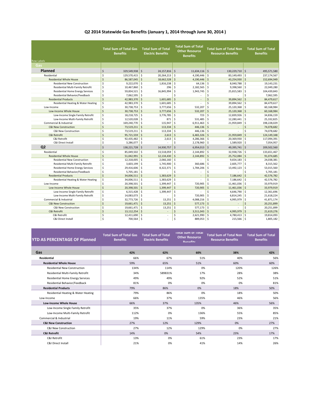### **Q2 2014 Statewide Gas Benefits (January 1, 2014 through June 30, 2014 )**

| <b>Row Labels</b>                       | <b>Total Sum of Total Gas</b><br><b>Benefits</b> |                     | <b>Total Sum of Total</b><br><b>Electric Benefits</b> | <b>Total Sum of Total</b><br><b>Other Resource</b><br><b>Benefits</b> | <b>Total Sum of Total Non</b><br><b>Resource Benefits</b> |                    | <b>Total Sum of Total</b><br><b>Benefits</b> |
|-----------------------------------------|--------------------------------------------------|---------------------|-------------------------------------------------------|-----------------------------------------------------------------------|-----------------------------------------------------------|--------------------|----------------------------------------------|
| Gas                                     |                                                  |                     |                                                       |                                                                       |                                                           |                    |                                              |
| Planned                                 | \$<br>329,549,938                                | \$                  | 24,157,816                                            | $\zeta$<br>11,634,116                                                 | $\ddot{s}$<br>130,229,710                                 | \$                 | 495,571,580                                  |
| Residential                             | \$<br>129,570,415                                | \$                  | 20,264,213                                            | \$<br>4,190,446                                                       | \$<br>83,149,493                                          | \$                 | 237,174,567                                  |
| <b>Residential Whole House</b>          | Ś<br>86,587,045                                  | \$                  | 18,662,528                                            | $\zeta$<br>4,190,446                                                  | $\ddot{s}$<br>43,254,930                                  | \$                 | 152,694,949                                  |
| <b>Residential New Construction</b>     | \$<br>9,222,070                                  | \$                  | 1,816,238                                             | \$<br>64,136                                                          | \$<br>8,040,788                                           | \$                 | 19,143,231                                   |
| Residential Multi-Family Retrofit       | \$<br>10,467,860                                 | \$                  | 296                                                   | \$<br>2,182,565                                                       | \$<br>9,398,560                                           | \$                 | 22,049,280                                   |
| <b>Residential Home Energy Services</b> | \$<br>59,834,521                                 | \$                  | 16,845,994                                            | Ś<br>1,943,745                                                        | \$<br>25,815,583                                          | \$                 | 104,439,843                                  |
| Residential Behavior/Feedback           | \$<br>7,062,595                                  | \$                  |                                                       | Ś                                                                     | Ś                                                         | Ś                  | 7,062,595                                    |
| <b>Residential Products</b>             | \$<br>42,983,370                                 | $\ddot{\mathsf{S}}$ | 1,601,685                                             | $\mathsf{\hat{S}}$<br>$\overline{\phantom{a}}$                        | $\mathsf{\hat{S}}$<br>39,894,562                          | Ś                  | 84,479,617                                   |
| Residential Heating & Water Heating     | \$<br>42,983,370                                 | \$                  | 1,601,685                                             | Ś<br>L.                                                               | Ś<br>39,894,562                                           | \$                 | 84,479,617                                   |
| Low-Income                              | \$<br>30,738,753                                 | \$                  | 3,777,656                                             | Ś<br>532,207                                                          | Ś<br>25,120,368                                           | \$                 | 60,168,984                                   |
| Low-Income Whole House                  | $\zeta$<br>30,738,753                            | $\ddot{\mathsf{S}}$ | 3,777,656                                             | $\zeta$<br>532,207                                                    | 25,120,368<br>$\mathsf{\hat{S}}$                          | \$                 | 60,168,984                                   |
| Low-Income Single Family Retrofit       | \$<br>18,218,725                                 | \$                  | 3.776.785                                             | \$<br>723                                                             | \$<br>12,839,926                                          | l s                | 34,836,159                                   |
| Low-Income Multi-Family Retrofit        | \$<br>12,520,028                                 | \$                  | 871                                                   | Ś<br>531,485                                                          | \$<br>12,280,441                                          | \$                 | 25,332,825                                   |
| Commercial & Industrial                 | \$<br>169,240,770                                | \$                  | 115,947                                               | 6,911,463<br>Ś                                                        | \$<br>21,959,849                                          | \$                 | 198,228,029                                  |
| <b>C&amp;I New Construction</b>         | \$<br>73,519,211                                 | \$                  | 113,334                                               | Ś<br>446,136                                                          | \$                                                        | \$                 | 74,078,682                                   |
| C&I New Construction                    | \$<br>73,519,211                                 | \$                  | 113,334                                               | Ś<br>446,136                                                          | \$                                                        | Ś                  | 74,078,682                                   |
| C&I Retrofit                            | Ś<br>95,721,559                                  | $\dot{\mathsf{S}}$  | 2,613                                                 | <sup>\$</sup><br>6,465,326                                            | 21,959,849<br><sup>\$</sup>                               | Ś                  | 124,149,348                                  |
| C&I Retrofit                            | \$<br>92,435,482                                 | \$                  | 2,613                                                 | \$<br>4,286,366                                                       | \$<br>20,369,930                                          | \$                 | 117,094,391                                  |
| C&I Direct Install                      | \$<br>3,286,077                                  | \$                  |                                                       | \$<br>2,178,960                                                       | \$<br>1,589,920                                           | Ś                  | 7,054,957                                    |
| Q <sub>2</sub>                          | Ś<br>138,221,728                                 | \$                  | 14,930,757                                            | $\zeta$<br>6,954,013                                                  | $\zeta$<br>49,395,741                                     | \$                 | 209,502,560                                  |
| Residential                             | \$<br>85,049,502                                 | \$                  | 13,518,059                                            | \$<br>2,144,892                                                       | \$<br>32,938,726                                          | $\mathsf{S}$       | 133,651,467                                  |
| <b>Residential Whole House</b>          | $\zeta$<br>51,042,991                            | \$                  | 12,134,430                                            | $\zeta$<br>2,144,892                                                  | \$<br>25,752,084                                          | \$                 | 91,074,685                                   |
| <b>Residential New Construction</b>     | \$<br>12,318,005                                 | \$                  | 2,066,160                                             | Ś                                                                     | Ś<br>9,654,183                                            | \$                 | 24,038,381                                   |
| Residential Multi-Family Retrofit       | \$<br>3,603,199                                  | \$                  | 1,745,900                                             | 360,686<br>\$                                                         | 2,605,777<br>\$                                           | \$                 | 8,315,562                                    |
| <b>Residential Home Energy Services</b> | \$<br>29,416,606                                 | \$                  | 8,322,371                                             | \$<br>1,784,206                                                       | \$<br>13,492,123                                          | \$                 | 53,015,560                                   |
| Residential Behavior/Feedback           | \$<br>5,705,181                                  | \$                  |                                                       | \$                                                                    | Ś                                                         | \$                 | 5,705,181                                    |
| <b>Residential Products</b>             | Ś<br>34,006,511                                  | $\ddot{\mathsf{S}}$ | 1,383,629                                             | $\zeta$<br>$\overline{a}$                                             | $\mathsf{\hat{S}}$<br>7,186,642                           | $\mathsf{\hat{S}}$ | 42,576,782                                   |
| Residential Heating & Water Heating     | \$<br>34,006,511                                 | \$                  | 1,383,629                                             | \$<br>÷,                                                              | Ś<br>7,186,642                                            | \$                 | 42,576,782                                   |
| Low-Income                              | $\sf S$<br>20,398,501                            | \$                  | 1,399,447                                             | \$<br>720,905                                                         | \$<br>11,461,036                                          | \$                 | 33,979,919                                   |
| Low-Income Whole House                  | \$<br>20,398,501                                 | Ś                   | 1,399,447                                             | Ś<br>720,905                                                          | $\ddot{s}$<br>11,461,036                                  | $\zeta$            | 33,979,919                                   |
| Low-Income Single Family Retrofit       | \$<br>6,315,428                                  | \$                  | 1,399,447                                             | Ś                                                                     | Ś<br>4,646,790                                            | \$                 | 12,361,696                                   |
| Low-Income Multi-Family Retrofit        | \$<br>14,083,073                                 | \$                  |                                                       | Ś<br>720,905                                                          | \$<br>6,814,245                                           | \$                 | 21,618,224                                   |
| Commercial & Industrial                 | \$<br>32,773,726                                 | \$                  | 13,251                                                | Ś<br>4,088,216                                                        | \$<br>4,995,979                                           | \$                 | 41,871,174                                   |
| <b>C&amp;I New Construction</b>         | \$<br>19,661,471                                 | $\ddot{s}$          | 13,251                                                | Ś<br>577,173                                                          | $\ddot{s}$                                                | \$                 | 20,251,899                                   |
| C&I New Construction                    | \$<br>19,661,471                                 | \$                  | 13,251                                                | Ś<br>577,173                                                          | \$                                                        | Ś                  | 20,251,899                                   |
| C&I Retrofit                            | Ś<br>13.112.254                                  | Ś                   |                                                       | $\zeta$<br>3.511.043                                                  | $\mathsf{\hat{S}}$<br>4,995,979                           | $\zeta$            | 21,619,276                                   |
| C&I Retrofit                            | \$<br>12,411,690                                 | \$                  | ٠                                                     | \$<br>2,621,990                                                       | \$<br>4,780,413                                           | \$                 | 19,814,093                                   |
| C&I Direct Install                      | $\sf S$<br>700,564                               | \$                  | ÷                                                     | $\mathsf{\hat{S}}$<br>889,053                                         | ۱\$<br>$215,566$ \$                                       |                    | 1,805,182                                    |

| <b>YTD AS PERCENTAGE OF Planned</b> | <b>Total Sum of Total Gas</b><br><b>Benefits</b> | <b>Total Sum of Total</b><br><b>Electric Benefits</b> | <b>TOTAL SUM OF FOTAL</b><br><b>Other Resource</b><br><b>Ronofitc</b> | <b>Total Sum of Total Non</b><br><b>Resource Benefits</b> | <b>Total Sum of Total</b><br><b>Benefits</b> |
|-------------------------------------|--------------------------------------------------|-------------------------------------------------------|-----------------------------------------------------------------------|-----------------------------------------------------------|----------------------------------------------|
| Gas                                 | 42%                                              | 62%                                                   | 60%                                                                   | 38%                                                       | 42%                                          |
| <b>Residential</b>                  | 66%                                              | 67%                                                   | 51%                                                                   | 40%                                                       | 56%                                          |
| <b>Residential Whole House</b>      | 59%                                              | 65%                                                   | 51%                                                                   | 60%                                                       | 60%                                          |
| <b>Residential New Construction</b> | 134%                                             | 114%                                                  | 0%                                                                    | 120%                                                      | 126%                                         |
| Residential Multi-Family Retrofit   | 34%                                              | 589831%                                               | 17%                                                                   | 28%                                                       | 38%                                          |
| Residential Home Energy Services    | 49%                                              | 49%                                                   | 92%                                                                   | 52%                                                       | 51%                                          |
| Residential Behavior/Feedback       | 81%                                              | 0%                                                    | 0%                                                                    | 0%                                                        | 81%                                          |
| <b>Residential Products</b>         | 79%                                              | 86%                                                   | 0%                                                                    | 18%                                                       | 50%                                          |
| Residential Heating & Water Heating | 79%                                              | 86%                                                   | 0%                                                                    | 18%                                                       | 50%                                          |
| Low-Income                          | 66%                                              | 37%                                                   | 135%                                                                  | 46%                                                       | 56%                                          |
| <b>Low-Income Whole House</b>       | 66%                                              | 37%                                                   | 135%                                                                  | 46%                                                       | 56%                                          |
| Low-Income Single Family Retrofit   | 35%                                              | 37%                                                   | 0%                                                                    | 36%                                                       | 35%                                          |
| Low-Income Multi-Family Retrofit    | 112%                                             | 0%                                                    | 136%                                                                  | 55%                                                       | 85%                                          |
| Commercial & Industrial             | 19%                                              | 11%                                                   | 59%                                                                   | 23%                                                       | 21%                                          |
| <b>C&amp;I New Construction</b>     | 27%                                              | 12%                                                   | 129%                                                                  | 0%                                                        | 27%                                          |
| <b>C&amp;I New Construction</b>     | 27%                                              | 12%                                                   | 129%                                                                  | 0%                                                        | 27%                                          |
| <b>C&amp;I Retrofit</b>             | 14%                                              | 0%                                                    | 54%                                                                   | 23%                                                       | 17%                                          |
| C&I Retrofit                        | 13%                                              | 0%                                                    | 61%                                                                   | 23%                                                       | 17%                                          |
| C&I Direct Install                  | 21%                                              | 0%                                                    | 41%                                                                   | 14%                                                       | 26%                                          |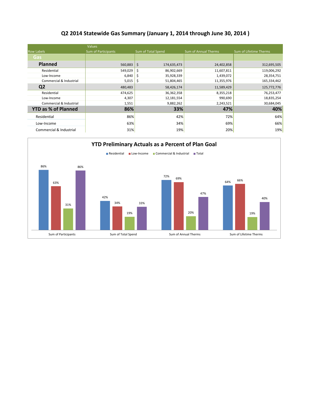## **Q2 2014 Statewide Gas Summary (January 1, 2014 through June 30, 2014 )**

|                            | <b>Values</b>       |                    |                             |                        |
|----------------------------|---------------------|--------------------|-----------------------------|------------------------|
| <b>Row Labels</b>          | Sum of Participants | Sum of Total Spend | <b>Sum of Annual Therms</b> | Sum of Lifetime Therms |
| Gas                        |                     |                    |                             |                        |
| <b>Planned</b>             | 560,883             | \$<br>174,635,473  | 24,402,858                  | 312,695,505            |
| Residential                | 549,029             | \$<br>86,902,669   | 11,607,811                  | 119,006,292            |
| Low-Income                 | 6,840               | \$<br>35,928,339   | 1,439,072                   | 28,354,751             |
| Commercial & Industrial    | 5,015               | \$<br>51,804,465   | 11,355,976                  | 165,334,462            |
| Q <sub>2</sub>             | 480,483             | 58,426,174         | 11,589,429                  | 125,772,776            |
| Residential                | 474,625             | 36,362,358         | 8,355,218                   | 76,253,477             |
| Low-Income                 | 4,307               | 12,181,554         | 990,690                     | 18,835,254             |
| Commercial & Industrial    | 1,551               | 9,882,262          | 2,243,521                   | 30,684,045             |
| <b>YTD as % of Planned</b> | 86%                 | 33%                | 47%                         | 40%                    |
| Residential                | 86%                 | 42%                | 72%                         | 64%                    |
| Low-Income                 | 63%                 | 34%                | 69%                         | 66%                    |
| Commercial & Industrial    | 31%                 | 19%                | 20%                         | 19%                    |

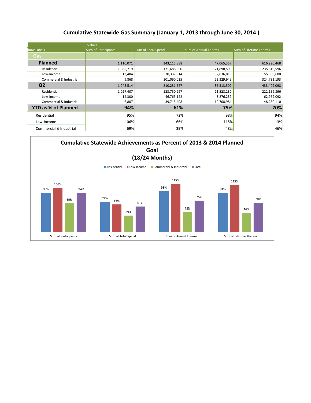## **Cumulative Statewide Gas Summary (January 1, 2013 through June 30, 2014 )**

|                            | <b>Values</b>       |                    |                             |                        |
|----------------------------|---------------------|--------------------|-----------------------------|------------------------|
| <b>Row Labels</b>          | Sum of Participants | Sum of Total Spend | <b>Sum of Annual Therms</b> | Sum of Lifetime Therms |
| Gas                        |                     |                    |                             |                        |
| <b>Planned</b>             | 1,110,071           | 343,115,888        | 47,065,357                  | 616,220,468            |
| Residential                | 1,086,719           | 171,688,550        | 21,898,593                  | 235,619,596            |
| Low-Income                 | 13,484              | 70,337,314         | 2,836,815                   | 55,869,680             |
| Commercial & Industrial    | 9,868               | 101,090,025        | 22,329,949                  | 324,731,193            |
| Q <sub>2</sub>             | 1,048,514           | 210,231,527        | 35,513,502                  | 433,409,098            |
| Residential                | 1,027,407           | 123,750,997        | 21,528,280                  | 222,159,896            |
| Low-Income                 | 14,300              | 46,765,122         | 3,276,239                   | 62,969,092             |
| Commercial & Industrial    | 6,807               | 39,715,408         | 10,708,984                  | 148,280,110            |
| <b>YTD as % of Planned</b> | 94%                 | 61%                | 75%                         | 70%                    |
| Residential                | 95%                 | 72%                | 98%                         | 94%                    |
| Low-Income                 | 106%                | 66%                | 115%                        | 113%                   |
| Commercial & Industrial    | 69%                 | 39%                | 48%                         | 46%                    |

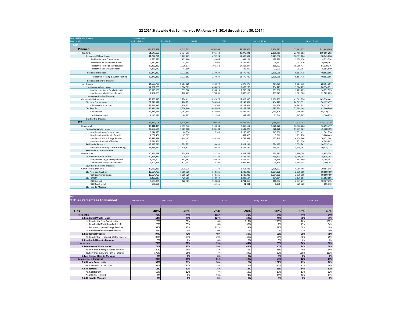#### **Q2 2014 Statewide Gas Summary by PA (January 1, 2014 through June 30, 2014 )**

| <b>Sum of Lifetime Therms</b>           | <b>Column Labels</b>     |                    |                   |                        |                          |                        |                          |
|-----------------------------------------|--------------------------|--------------------|-------------------|------------------------|--------------------------|------------------------|--------------------------|
| <b>Row Labels</b>                       | <b>National Grid</b>     | <b>BERKSHIRE</b>   | UNITIL            | <b>CMA</b>             | <b>Liberty Utilities</b> | <b>NU</b>              | <b>Grand Total</b>       |
| Gas                                     |                          |                    |                   |                        |                          |                        |                          |
| Planned                                 | 154,905,868              | 9,015,253          | 3,962,508         | 62,372,006             | 5,274,692                | 77,165,177             | 312,695,505              |
| Residential                             | 61.647.593               | 2,734,313          | 695,753           | 29.070.341             | 2,359,711                | 22.498.582             | 119.006.292              |
| <b>Residential Whole House</b>          | 41,274,771               | 1,462,729          | 471,724           | 17,499,602             | 1,123,696                | 16,311,104             | 78,143,626               |
| <b>Residential New Construction</b>     | 4,690,620                | 132,100            | 92,066            | 991,101                | 138,998                  | 2,678,650              | 8,723,534                |
| Residential Multi-Family Retrofit       | 4,870,387                | 43,358             | 188,506           | 1,785,014              | 76,991                   | 2,441,910              | 9,406,167                |
| <b>Residential Home Energy Services</b> | 27,353,822               | 1,239,671          | 191,152           | 14,318,247             | 816,707                  | 10,399,477             | 54,319,076               |
| Residential Behavior/Feedback           | 4,359,942                | 47,600             | $\sim$            | 405,240                | 91,000                   | 791,067                | 5,694,849                |
| <b>Residential Products</b>             | 20,372,822               | 1,271,583          | 224.029           | 11,570,739             | 1,236,015                | 6,187,478              | 40.862.666               |
| Residential Heating & Water Heating     | 20,372,822               | 1,271,583          | 224,029           | 11,570,739             | 1,236,015                | 6,187,478              | 40,862,666               |
| Residential Hard-to-Measure             |                          |                    |                   |                        |                          |                        |                          |
| Low-Income                              | 14,667,763               | 1,004,529          | 434,679           | 5,878,276              | 764,729                  | 5,604,775              | 28,354,751               |
| Low-Income Whole House                  | 14,667,763               | 1,004,529          | 434,679           | 5,878,276              | 764,729                  | 5,604,775              | 28,354,751               |
| Low-Income Single Family Retrofit       | 10,515,180               | 533,800            | 258.813           | 2,790,107              | 531,350                  | 2,223,275              | 16,852,525               |
| Low-Income Multi-Family Retrofit        | 4,152,583                | 470,729            | 175,866           | 3,088,168              | 233,379                  | 3,381,500              | 11,502,225               |
| Low-Income Hard-to-Measure              |                          |                    |                   |                        |                          |                        |                          |
| Commercial & Industrial                 | 78,590,513               | 5,276,411          | 2,832,076         | 27,423,390             | 2,150,252                | 49,061,820             | 165,334,462              |
| <b>C&amp;I New Construction</b>         | 32,646,317               | 1,726,271          | 783,208           | 12,143,601             | 464.728                  | 26,363,351             | 74,127,477               |
| <b>C&amp;I New Construction</b>         | 32.646.317               | 1,726,271          | 783,208           | 12,143,601             | 464,728                  | 26,363,351             | 74,127,477               |
| C&I Retrofit                            | 45,944,196               | 3.550.140          | 2.048.868         | 15,279,789             | 1.685.524                | 22,698,469             | 91,206,986               |
| C&I Retrofit                            | 44,833,925               | 3,481,848          | 1,827,502         | 14,892,314             | 1,633,878                | 21,450,564             | 88,120,031               |
| C&I Direct Install                      | 1,110,271                | 68,292             | 221,366           | 387,475                | 51.646                   | 1,247,905              | 3,086,955                |
| C&I Hard-to-Measure                     |                          |                    |                   |                        |                          |                        |                          |
| Q <sub>2</sub>                          | 74,830,008               | 4,118,888          | 1,108,428         | 14,845,662             | 2,954,533                | 27,915,257             | 125,772,776              |
| Residential                             | 46,411,429               | 2,015,540          | 711,834           | 9,015,167              | 1,520,720                | 16,578,788             | 76,253,477               |
| <b>Residential Whole House</b>          | 26,587,659               | 1,085,668          | 601,404           | 5,587,973              | 826,228                  | 11,039,527             | 45,728,459               |
| <b>Residential New Construction</b>     | 6,014,923                | 68,854             | 7,140             | 2,150,500              | 347,900                  | 2,952,412              | 11,541,728               |
| Residential Multi-Family Retrofit       | 1,261,456                | 67,327             |                   | 682,420                | 5,516                    | 1,191,730              | 3,208,449                |
| Residential Home Energy Services        | 15,576,318               | 949,487            | 594,264           | 2,755,053              | 472,813                  | 6,124,360              | 26,472,294               |
| Residential Behavior/Feedback           | 3,734,961                |                    |                   |                        |                          | 771,026                | 4,505,987                |
| <b>Residential Products</b>             | 19,823,770               | 929,872            | 110,430           | 3,427,194              | 694,492                  | 5,539,261              | 30,525,018               |
| Residential Heating & Water Heating     | 19,823,770               | 929,872            | 110,430<br>$\sim$ | 3,427,194              | 694,492                  | 5,539,261              | 30,525,018<br>$\sim$     |
| Residential Hard-to-Measure             |                          |                    |                   |                        |                          |                        |                          |
| Low-Income<br>Low-Income Whole House    | 10,464,749<br>10,464,749 | 275,314<br>275,314 | 81,220<br>81,220  | 2,578,777<br>2,578,777 | 155,190<br>155,190       | 5,280,004<br>5,280,004 | 18,835,254<br>18,835,254 |
| Low-Income Single Family Retrofit       | 3,057,500                | 151,562            | 68,930            | 1,541,840              | 79,346                   | 895,869                | 5,795,047                |
| Low-Income Multi-Family Retrofit        | 7,407,249                | 123,752            | 12,290            | 1,036,937              | 75,844                   | 4,384,135              | 13,040,207               |
| Low-Income Hard-to-Measure              |                          |                    |                   |                        |                          |                        |                          |
| Commercial & Industrial                 | 17,953,830               | 1,828,035          | 315,374           | 3,251,718              | 1,278,623                | 6,056,466              | 30,684,045               |
| <b>C&amp;I New Construction</b>         | 12,594,793               | 1,399,729          | 142.725           | 1,429,033              | 1.054.270                | 2,879,909              | 19,500,459               |
| <b>C&amp;I New Construction</b>         | 12,594,793               | 1,399,729          | 142,725           | 1,429,033              | 1,054,270                | 2,879,909              | 19,500,459               |
| C&I Retrofit                            | 5,359,037                | 428.305            | 172,649           | 1,822,684              | 224,354                  | 3,176,557              | 11,183,586               |
| C&I Retrofit                            | 5,173,879                | 428,305            | 130.884           | 1,731,353              | 216,057                  | 2,847,237              | 10,527,715               |
| C&I Direct Install                      | 185,158                  |                    | 41.766            | 91,331                 | 8.296                    | 329.320                | 655,872                  |
| C&I Hard-to-Measure                     |                          |                    |                   |                        |                          |                        |                          |

| Year                                    |                      |                  |               |            |                          |           |                    |
|-----------------------------------------|----------------------|------------------|---------------|------------|--------------------------|-----------|--------------------|
| <b>YTD as Percentage to Planned</b>     | <b>National Grid</b> | <b>BERKSHIRE</b> | <b>UNITIL</b> | <b>CMA</b> | <b>Liberty Utilities</b> | <b>NU</b> | <b>Grand Total</b> |
|                                         |                      |                  |               |            |                          |           |                    |
|                                         |                      |                  |               |            |                          |           |                    |
| Gas                                     | 48%                  | 46%              | 28%           | 24%        | 56%                      | 36%       | 40%                |
| <b>Residential</b>                      | 75%                  | 74%              | 102%          | 31%        | 64%                      | 74%       | 64%                |
| 1. Residential Whole House              | 64%                  | 74%              | 127%          | 32%        | 74%                      | 68%       | 59%                |
| 1a. Residential New Construction        | 128%                 | 52%              | 8%            | 217%       | 250%                     | 110%      | 132%               |
| 1b. Residential Multi-Family Retrofit   | 26%                  | 155%             | 0%            | 38%        | 7%                       | 49%       | 34%                |
| 1c. Residential Home Energy Services    | 57%                  | 77%              | 311%          | 19%        | 58%                      | 59%       | 49%                |
| 1d. Residential Behavior/Feedback       | 86%                  | 0%               | 0%            | 0%         | 0%                       | 97%       | 79%                |
| 2. Residential Products                 | 97%                  | 73%              | 49%           | 30%        | 56%                      | 90%       | 75%                |
| 2a. Residential Heating & Water Heating | 97%                  | 73%              | 49%           | 30%        | 56%                      | 90%       | 75%                |
| 3. Residential Hard-to-Measure          | 0%                   | 0%               | 0%            | 0%         | 0%                       | 0%        | 0%                 |
| Low Income                              | 71%                  | 27%              | 19%           | 44%        | 20%                      | 94%       | 66%                |
| 4. Low-Income Whole House               | 71%                  | 27%              | 19%           | 44%        | 20%                      | 94%       | 66%                |
| 4a. Low-Income Single Family Retrofit   | 29%                  | 28%              | 27%           | 55%        | 15%                      | 40%       | 34%                |
| 4b. Low-Income Multi-Family Retrofit    | 178%                 | 26%              | 7%            | 34%        | 32%                      | 130%      | 113%               |
| 5. Low Income Hard-to-Measure           | 0%                   | 0%               | 0%            | 0%         | 0%                       | 0%        | 0%                 |
| <b>Commercial &amp; Industrial</b>      | 23%                  | 35%              | 11%           | 12%        | 59%                      | 12%       | 19%                |
| 6. C&I New Construction                 | 39%                  | 81%              | 18%           | 12%        | 227%                     | 11%       | 26%                |
| 6a. C&I New Construction                | 39%                  | 81%              | 18%           | 12%        | 227%                     | 11%       | 26%                |
| 7. C&I Retrofit                         | 12%                  | 12%              | 8%            | 12%        | 13%                      | 14%       | 12%                |
| 7a. C&I Retrofit                        | 12%                  | 12%              | 7%            | 12%        | 13%                      | 13%       | 12%                |
| 7b. C&I Direct Install                  | 17%                  | 0%               | 19%           | 24%        | 16%                      | 26%       | 21%                |
| 8. C&I Hard to Measure                  | 0%                   | 0%               | 0%            | 0%         | 0%                       | 0%        | 0%                 |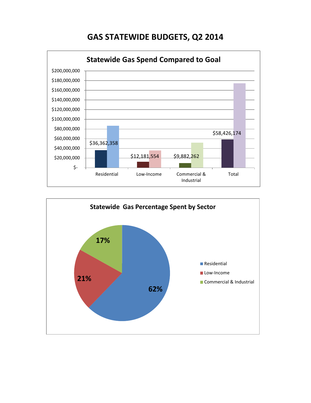# **GAS STATEWIDE BUDGETS, Q2 2014**



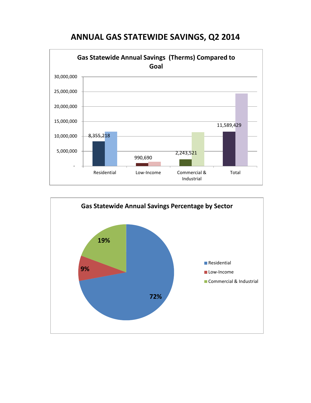

## **ANNUAL GAS STATEWIDE SAVINGS, Q2 2014**

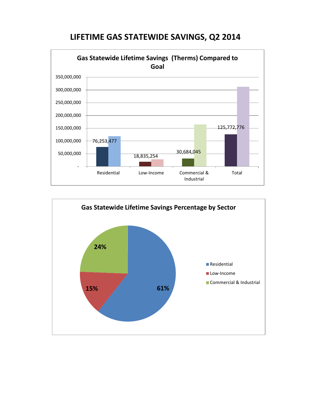

# **LIFETIME GAS STATEWIDE SAVINGS, Q2 2014**

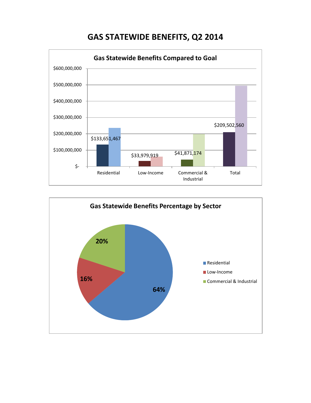# **GAS STATEWIDE BENEFITS, Q2 2014**